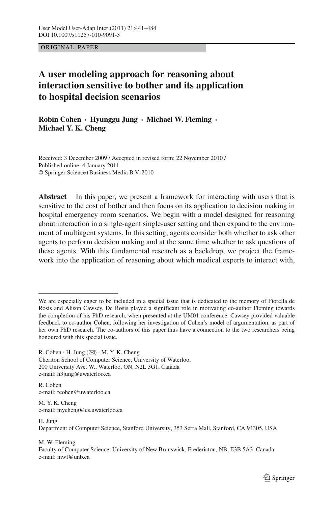ORIGINAL PAPER

# **A user modeling approach for reasoning about interaction sensitive to bother and its application to hospital decision scenarios**

**Robin Cohen · Hyunggu Jung · Michael W. Fleming · Michael Y. K. Cheng**

Received: 3 December 2009 / Accepted in revised form: 22 November 2010 / Published online: 4 January 2011 © Springer Science+Business Media B.V. 2010

**Abstract** In this paper, we present a framework for interacting with users that is sensitive to the cost of bother and then focus on its application to decision making in hospital emergency room scenarios. We begin with a model designed for reasoning about interaction in a single-agent single-user setting and then expand to the environment of multiagent systems. In this setting, agents consider both whether to ask other agents to perform decision making and at the same time whether to ask questions of these agents. With this fundamental research as a backdrop, we project the framework into the application of reasoning about which medical experts to interact with,

R. Cohen  $\cdot$  H. Jung ( $\boxtimes$ )  $\cdot$  M. Y. K. Cheng Cheriton School of Computer Science, University of Waterloo, 200 University Ave. W., Waterloo, ON, N2L 3G1, Canada e-mail: h3jung@uwaterloo.ca

R. Cohen e-mail: rcohen@uwaterloo.ca

M. Y. K. Cheng e-mail: mycheng@cs.uwaterloo.ca

H. Jung

Department of Computer Science, Stanford University, 353 Serra Mall, Stanford, CA 94305, USA

M. W. Fleming

We are especially eager to be included in a special issue that is dedicated to the memory of Fiorella de Rosis and Alison Cawsey. De Rosis played a significant role in motivating co-author Fleming towards the completion of his PhD research, when presented at the UM01 conference. Cawsey provided valuable feedback to co-author Cohen, following her investigation of Cohen's model of argumentation, as part of her own PhD research. The co-authors of this paper thus have a connection to the two researchers being honoured with this special issue.

Faculty of Computer Science, University of New Brunswick, Fredericton, NB, E3B 5A3, Canada e-mail: mwf@unb.ca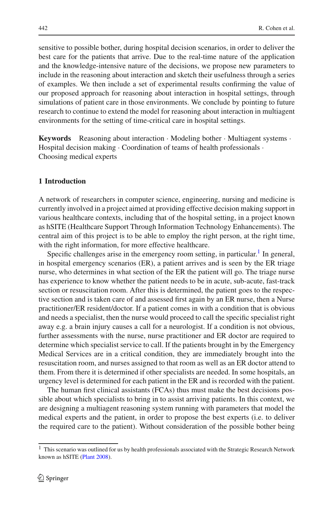sensitive to possible bother, during hospital decision scenarios, in order to deliver the best care for the patients that arrive. Due to the real-time nature of the application and the knowledge-intensive nature of the decisions, we propose new parameters to include in the reasoning about interaction and sketch their usefulness through a series of examples. We then include a set of experimental results confirming the value of our proposed approach for reasoning about interaction in hospital settings, through simulations of patient care in those environments. We conclude by pointing to future research to continue to extend the model for reasoning about interaction in multiagent environments for the setting of time-critical care in hospital settings.

**Keywords** Reasoning about interaction · Modeling bother · Multiagent systems · Hospital decision making · Coordination of teams of health professionals · Choosing medical experts

# <span id="page-1-1"></span>**1 Introduction**

A network of researchers in computer science, engineering, nursing and medicine is currently involved in a project aimed at providing effective decision making support in various healthcare contexts, including that of the hospital setting, in a project known as hSITE (Healthcare Support Through Information Technology Enhancements). The central aim of this project is to be able to employ the right person, at the right time, with the right information, for more effective healthcare.

Specific challenges arise in the emergency room setting, in particular.<sup>[1](#page-1-0)</sup> In general, in hospital emergency scenarios (ER), a patient arrives and is seen by the ER triage nurse, who determines in what section of the ER the patient will go. The triage nurse has experience to know whether the patient needs to be in acute, sub-acute, fast-track section or resuscitation room. After this is determined, the patient goes to the respective section and is taken care of and assessed first again by an ER nurse, then a Nurse practitioner/ER resident/doctor. If a patient comes in with a condition that is obvious and needs a specialist, then the nurse would proceed to call the specific specialist right away e.g. a brain injury causes a call for a neurologist. If a condition is not obvious, further assessments with the nurse, nurse practitioner and ER doctor are required to determine which specialist service to call. If the patients brought in by the Emergency Medical Services are in a critical condition, they are immediately brought into the resuscitation room, and nurses assigned to that room as well as an ER doctor attend to them. From there it is determined if other specialists are needed. In some hospitals, an urgency level is determined for each patient in the ER and is recorded with the patient.

The human first clinical assistants (FCAs) thus must make the best decisions possible about which specialists to bring in to assist arriving patients. In this context, we are designing a multiagent reasoning system running with parameters that model the medical experts and the patient, in order to propose the best experts (i.e. to deliver the required care to the patient). Without consideration of the possible bother being

<span id="page-1-0"></span><sup>&</sup>lt;sup>1</sup> This scenario was outlined for us by health professionals associated with the Strategic Research Network known as hSITE [\(Plant 2008\)](#page-42-0).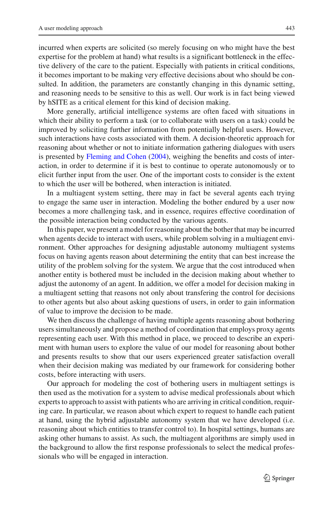incurred when experts are solicited (so merely focusing on who might have the best expertise for the problem at hand) what results is a significant bottleneck in the effective delivery of the care to the patient. Especially with patients in critical conditions, it becomes important to be making very effective decisions about who should be consulted. In addition, the parameters are constantly changing in this dynamic setting, and reasoning needs to be sensitive to this as well. Our work is in fact being viewed by hSITE as a critical element for this kind of decision making.

More generally, artificial intelligence systems are often faced with situations in which their ability to perform a task (or to collaborate with users on a task) could be improved by soliciting further information from potentially helpful users. However, such interactions have costs associated with them. A decision-theoretic approach for reasoning about whether or not to initiate information gathering dialogues with users is presented by [Fleming and Cohen](#page-42-1) [\(2004\)](#page-42-1), weighing the benefits and costs of interaction, in order to determine if it is best to continue to operate autonomously or to elicit further input from the user. One of the important costs to consider is the extent to which the user will be bothered, when interaction is initiated.

In a multiagent system setting, there may in fact be several agents each trying to engage the same user in interaction. Modeling the bother endured by a user now becomes a more challenging task, and in essence, requires effective coordination of the possible interaction being conducted by the various agents.

In this paper, we present a model for reasoning about the bother that may be incurred when agents decide to interact with users, while problem solving in a multiagent environment. Other approaches for designing adjustable autonomy multiagent systems focus on having agents reason about determining the entity that can best increase the utility of the problem solving for the system. We argue that the cost introduced when another entity is bothered must be included in the decision making about whether to adjust the autonomy of an agent. In addition, we offer a model for decision making in a multiagent setting that reasons not only about transfering the control for decisions to other agents but also about asking questions of users, in order to gain information of value to improve the decision to be made.

We then discuss the challenge of having multiple agents reasoning about bothering users simultaneously and propose a method of coordination that employs proxy agents representing each user. With this method in place, we proceed to describe an experiment with human users to explore the value of our model for reasoning about bother and presents results to show that our users experienced greater satisfaction overall when their decision making was mediated by our framework for considering bother costs, before interacting with users.

Our approach for modeling the cost of bothering users in multiagent settings is then used as the motivation for a system to advise medical professionals about which experts to approach to assist with patients who are arriving in critical condition, requiring care. In particular, we reason about which expert to request to handle each patient at hand, using the hybrid adjustable autonomy system that we have developed (i.e. reasoning about which entities to transfer control to). In hospital settings, humans are asking other humans to assist. As such, the multiagent algorithms are simply used in the background to allow the first response professionals to select the medical professionals who will be engaged in interaction.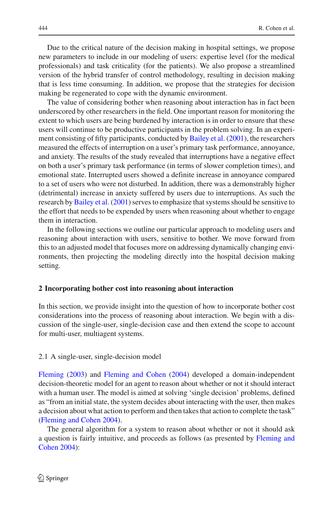Due to the critical nature of the decision making in hospital settings, we propose new parameters to include in our modeling of users: expertise level (for the medical professionals) and task criticality (for the patients). We also propose a streamlined version of the hybrid transfer of control methodology, resulting in decision making that is less time consuming. In addition, we propose that the strategies for decision making be regenerated to cope with the dynamic environment.

The value of considering bother when reasoning about interaction has in fact been underscored by other researchers in the field. One important reason for monitoring the extent to which users are being burdened by interaction is in order to ensure that these users will continue to be productive participants in the problem solving. In an experiment consisting of fifty participants, conducted by [Bailey et al.](#page-41-0) [\(2001](#page-41-0)), the researchers measured the effects of interruption on a user's primary task performance, annoyance, and anxiety. The results of the study revealed that interruptions have a negative effect on both a user's primary task performance (in terms of slower completion times), and emotional state. Interrupted users showed a definite increase in annoyance compared to a set of users who were not disturbed. In addition, there was a demonstrably higher (detrimental) increase in anxiety suffered by users due to interruptions. As such the research by [Bailey et al.](#page-41-0) [\(2001](#page-41-0)) serves to emphasize that systems should be sensitive to the effort that needs to be expended by users when reasoning about whether to engage them in interaction.

In the following sections we outline our particular approach to modeling users and reasoning about interaction with users, sensitive to bother. We move forward from this to an adjusted model that focuses more on addressing dynamically changing environments, then projecting the modeling directly into the hospital decision making setting.

### **2 Incorporating bother cost into reasoning about interaction**

In this section, we provide insight into the question of how to incorporate bother cost considerations into the process of reasoning about interaction. We begin with a discussion of the single-user, single-decision case and then extend the scope to account for multi-user, multiagent systems.

### 2.1 A single-user, single-decision model

Fleming [\(2003](#page-42-2)) and [Fleming and Cohen](#page-42-1) [\(2004\)](#page-42-1) developed a domain-independent decision-theoretic model for an agent to reason about whether or not it should interact with a human user. The model is aimed at solving 'single decision' problems, defined as "from an initial state, the system decides about interacting with the user, then makes a decision about what action to perform and then takes that action to complete the task" [\(Fleming and Cohen 2004](#page-42-1)).

The general algorithm for a system to reason about whether or not it should ask a ques[tion](#page-42-1) [is](#page-42-1) [fairly](#page-42-1) [intuitive,](#page-42-1) [and](#page-42-1) [proceeds](#page-42-1) [as](#page-42-1) [follows](#page-42-1) [\(as](#page-42-1) [presented](#page-42-1) [by](#page-42-1) Fleming and Cohen [2004](#page-42-1)):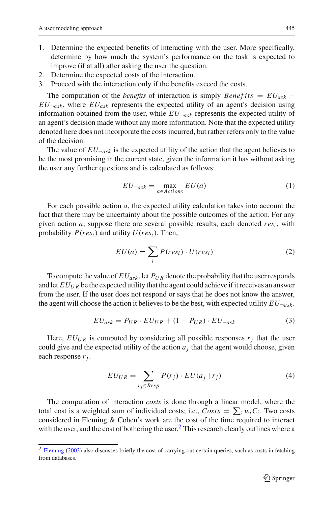- 1. Determine the expected benefits of interacting with the user. More specifically, determine by how much the system's performance on the task is expected to improve (if at all) after asking the user the question.
- 2. Determine the expected costs of the interaction.
- 3. Proceed with the interaction only if the benefits exceed the costs.

The computation of the *benefits* of interaction is simply *Benefits* =  $EU_{ask}$  −  $EU_{-ask}$ , where  $EU_{ask}$  represents the expected utility of an agent's decision using information obtained from the user, while *EU*¬*ask* represents the expected utility of an agent's decision made without any more information. Note that the expected utility denoted here does not incorporate the costs incurred, but rather refers only to the value of the decision.

The value of  $EU_{\neg ask}$  is the expected utility of the action that the agent believes to be the most promising in the current state, given the information it has without asking the user any further questions and is calculated as follows:

$$
EU_{\neg ask} = \max_{a \in Actions} EU(a)
$$
 (1)

For each possible action *a*, the expected utility calculation takes into account the fact that there may be uncertainty about the possible outcomes of the action. For any given action  $a$ , suppose there are several possible results, each denoted  $res_i$ , with probability  $P(res_i)$  and utility  $U(res_i)$ . Then,

$$
EU(a) = \sum_{i} P(res_i) \cdot U(res_i)
$$
 (2)

To compute the value of  $EU_{ask}$ , let  $P_{UR}$  denote the probability that the user responds and let  $EU_{UR}$  be the expected utility that the agent could achieve if it receives an answer from the user. If the user does not respond or says that he does not know the answer, the agent will choose the action it believes to be the best, with expected utility  $EU_{\neg ask}$ .

$$
EU_{ask} = P_{UR} \cdot EU_{UR} + (1 - P_{UR}) \cdot EU_{-ask} \tag{3}
$$

Here,  $EU_{UR}$  is computed by considering all possible responses  $r_i$  that the user could give and the expected utility of the action  $a_i$  that the agent would choose, given each response *rj* .

$$
EU_{UR} = \sum_{r_j \in Resp} P(r_j) \cdot EU(a_j \mid r_j)
$$
 (4)

The computation of interaction *costs* is done through a linear model, where the total cost is a weighted sum of individual costs; i.e.,  $Costs = \sum_i w_i C_i$ . Two costs considered in Fleming & Cohen's work are the cost of the time required to interact with the user, and the cost of bothering the user. $<sup>2</sup>$  This research clearly outlines where a</sup>

<span id="page-4-0"></span><sup>&</sup>lt;sup>2</sup> [Fleming](#page-42-2) [\(2003](#page-42-2)) also discusses briefly the cost of carrying out certain queries, such as costs in fetching from databases.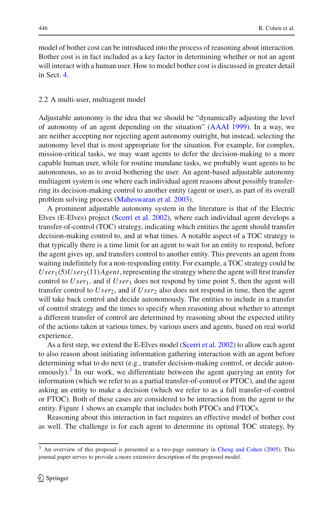model of bother cost can be introduced into the process of reasoning about interaction. Bother cost is in fact included as a key factor in determining whether or not an agent will interact with a human user. How to model bother cost is discussed in greater detail in Sect. [4.](#page-9-0)

### <span id="page-5-1"></span>2.2 A multi-user, multiagent model

Adjustable autonomy is the idea that we should be "dynamically adjusting the level of autonomy of an agent depending on the situation" [\(AAAI 1999](#page-41-1)). In a way, we are neither accepting nor rejecting agent autonomy outright, but instead, selecting the autonomy level that is most appropriate for the situation. For example, for complex, mission-critical tasks, we may want agents to defer the decision-making to a more capable human user, while for routine mundane tasks, we probably want agents to be autonomous, so as to avoid bothering the user. An agent-based adjustable autonomy multiagent system is one where each individual agent reasons about possibly transferring its decision-making control to another entity (agent or user), as part of its overall problem solving process [\(Maheswaran et al. 2003](#page-42-3)).

A prominent adjustable autonomy system in the literature is that of the Electric Elves (E-Elves) project [\(Scerri et al. 2002](#page-42-4)), where each individual agent develops a transfer-of-control (TOC) strategy, indicating which entities the agent should transfer decision-making control to, and at what times. A notable aspect of a TOC strategy is that typically there is a time limit for an agent to wait for an entity to respond, before the agent gives up, and transfers control to another entity. This prevents an agent from waiting indefinitely for a non-responding entity. For example, a TOC strategy could be  $User_1(5) User_2(11) Agent$ , representing the strategy where the agent will first transfer control to  $User_1$ , and if  $User_1$  does not respond by time point 5, then the agent will transfer control to *User*2, and if *User*<sup>2</sup> also does not respond in time, then the agent will take back control and decide autonomously. The entities to include in a transfer of control strategy and the times to specify when reasoning about whether to attempt a different transfer of control are determined by reasoning about the expected utility of the actions taken at various times, by various users and agents, based on real world experience.

As a first step, we extend the E-Elves model [\(Scerri et al. 2002\)](#page-42-4) to allow each agent to also reason about initiating information gathering interaction with an agent before determining what to do next (e.g., transfer decision-making control, or decide autonomously).<sup>3</sup> In our work, we differentiate between the agent querying an entity for information (which we refer to as a partial transfer-of-control or PTOC), and the agent asking an entity to make a decision (which we refer to as a full transfer-of-control or FTOC). Both of these cases are considered to be interaction from the agent to the entity. Figure [1](#page-6-0) shows an example that includes both PTOCs and FTOCs.

Reasoning about this interaction in fact requires an effective model of bother cost as well. The challenge is for each agent to determine its optimal TOC strategy, by

<span id="page-5-0"></span><sup>&</sup>lt;sup>3</sup> An overview of this proposal is presented as a two-page summary in [Cheng and Cohen](#page-42-5) [\(2005\)](#page-42-5). This journal paper serves to provide a more extensive description of the proposed model.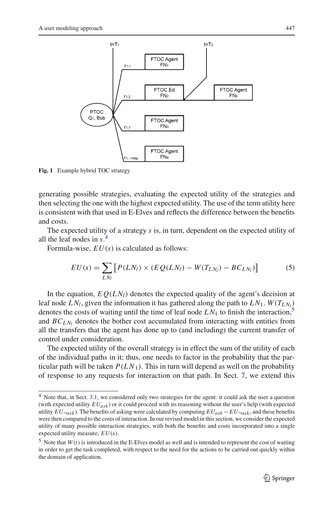

<span id="page-6-0"></span>**Fig. 1** Example hybrid TOC strategy

generating possible strategies, evaluating the expected utility of the strategies and then selecting the one with the highest expected utility. The use of the term utility here is consistent with that used in E-Elves and reflects the difference between the benefits and costs.

The expected utility of a strategy *s* is, in turn, dependent on the expected utility of all the leaf nodes in *s*. [4](#page-6-1)

Formula-wise, *EU*(*s*) is calculated as follows:

$$
EU(s) = \sum_{LN_l} [P(LN_l) \times (EQ(LN_l) - W(T_{LN_l}) - BC_{LN_l})]
$$
 (5)

In the equation,  $EQ(LN_l)$  denotes the expected quality of the agent's decision at leaf node  $LN_l$ , given the information it has gathered along the path to  $LN_1$ .  $W(T_{LN_l})$ denotes the costs of waiting until the time of leaf node  $LN_1$  to finish the interaction,<sup>5</sup> and  $BC_{LN}$  denotes the bother cost accumulated from interacting with entities from all the transfers that the agent has done up to (and including) the current transfer of control under consideration.

The expected utility of the overall strategy is in effect the sum of the utility of each of the individual paths in it; thus, one needs to factor in the probability that the particular path will be taken  $P(LN_1)$ . This in turn will depend as well on the probability of response to any requests for interaction on that path. In Sect. [7,](#page-21-0) we extend this

<span id="page-6-1"></span><sup>&</sup>lt;sup>4</sup> Note that, in Sect. [3.1,](#page-7-0) we considered only two strategies for the agent: it could ask the user a question (with expected utility  $EU_{\alpha\kappa}$ ) or it could proceed with its reasoning without the user's help (with expected utility  $EU_{qsk}$ ). The benefits of asking were calculated by computing  $EU_{qsk} - EU_{qask}$ , and these benefits were then compared to the costs of interaction. In our revised model in this section, we consider the expected utility of many possible interaction strategies, with both the benefits and costs incorporated into a single expected utility measure, *EU*(*s*).

<span id="page-6-2"></span> $5$  Note that  $W(t)$  is introduced in the E-Elves model as well and is intended to represent the cost of waiting in order to get the task completed, with respect to the need for the actions to be carried out quickly within the domain of application.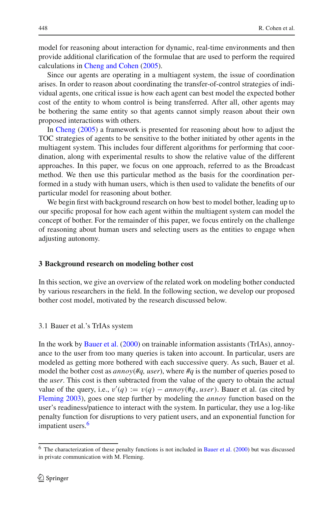model for reasoning about interaction for dynamic, real-time environments and then provide additional clarification of the formulae that are used to perform the required calculations in [Cheng and Cohen](#page-42-5) [\(2005](#page-42-5)).

Since our agents are operating in a multiagent system, the issue of coordination arises. In order to reason about coordinating the transfer-of-control strategies of individual agents, one critical issue is how each agent can best model the expected bother cost of the entity to whom control is being transferred. After all, other agents may be bothering the same entity so that agents cannot simply reason about their own proposed interactions with others.

In [Cheng](#page-42-6) [\(2005\)](#page-42-6) a framework is presented for reasoning about how to adjust the TOC strategies of agents to be sensitive to the bother initiated by other agents in the multiagent system. This includes four different algorithms for performing that coordination, along with experimental results to show the relative value of the different approaches. In this paper, we focus on one approach, referred to as the Broadcast method. We then use this particular method as the basis for the coordination performed in a study with human users, which is then used to validate the benefits of our particular model for reasoning about bother.

We begin first with background research on how best to model bother, leading up to our specific proposal for how each agent within the multiagent system can model the concept of bother. For the remainder of this paper, we focus entirely on the challenge of reasoning about human users and selecting users as the entities to engage when adjusting autonomy.

### <span id="page-7-2"></span>**3 Background research on modeling bother cost**

In this section, we give an overview of the related work on modeling bother conducted by various researchers in the field. In the following section, we develop our proposed bother cost model, motivated by the research discussed below.

# <span id="page-7-0"></span>3.1 Bauer et al.'s TrIAs system

In the work by [Bauer et al.](#page-41-2) [\(2000](#page-41-2)) on trainable information assistants (TrIAs), annoyance to the user from too many queries is taken into account. In particular, users are modeled as getting more bothered with each successive query. As such, Bauer et al. model the bother cost as *annoy*(*#q, user*), where *#q* is the number of queries posed to the *user*. This cost is then subtracted from the value of the query to obtain the actual value of the query, i.e.,  $v'(q) := v(q) - annoy(\#q, user)$ . Bauer et al. (as cited by [Fleming 2003\)](#page-42-2), goes one step further by modeling the *annoy* function based on the user's readiness/patience to interact with the system. In particular, they use a log-like penalty function for disruptions to very patient users, and an exponential function for impatient users.<sup>[6](#page-7-1)</sup>

<span id="page-7-1"></span> $6$  The characterization of these penalty functions is not included in [Bauer et al.](#page-41-2) [\(2000\)](#page-41-2) but was discussed in private communication with M. Fleming.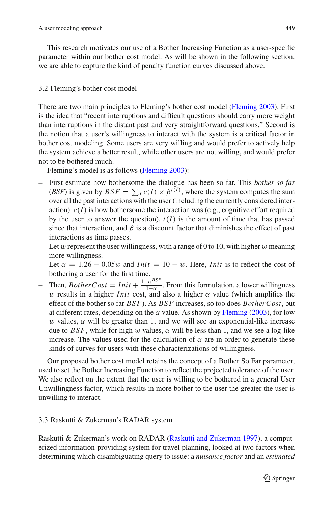This research motivates our use of a Bother Increasing Function as a user-specific parameter within our bother cost model. As will be shown in the following section, we are able to capture the kind of penalty function curves discussed above.

# 3.2 Fleming's bother cost model

There are two main principles to Fleming's bother cost model [\(Fleming 2003](#page-42-2)). First is the idea that "recent interruptions and difficult questions should carry more weight than interruptions in the distant past and very straightforward questions." Second is the notion that a user's willingness to interact with the system is a critical factor in bother cost modeling. Some users are very willing and would prefer to actively help the system achieve a better result, while other users are not willing, and would prefer not to be bothered much.

Fleming's model is as follows [\(Fleming 2003\)](#page-42-2):

- First estimate how bothersome the dialogue has been so far. This *bother so far* (*BSF*) is given by  $BSF = \sum_{I} c(I) \times \beta^{t(I)}$ , where the system computes the sum over all the past interactions with the user (including the currently considered interaction).  $c(I)$  is how bothersome the interaction was (e.g., cognitive effort required by the user to answer the question),  $t(I)$  is the amount of time that has passed since that interaction, and  $\beta$  is a discount factor that diminishes the effect of past interactions as time passes.
- Let w represent the user willingness, with a range of 0 to 10, with higher w meaning more willingness.
- Let  $\alpha = 1.26 0.05w$  and *Init* = 10 w. Here, *Init* is to reflect the cost of bothering a user for the first time.
- $I<sub>−</sub>$  Then, *Bother Cost* = *Init* +  $\frac{1-\alpha^{BSF}}{1-\alpha}$ . From this formulation, a lower willingness w results in a higher *Init* cost, and also a higher  $\alpha$  value (which amplifies the effect of the bother so far *BSF*). As *BSF* increases, so too does *BotherCost*, but at different rates, depending on the  $\alpha$  value. As shown by [Fleming](#page-42-2) [\(2003](#page-42-2)), for low w values,  $\alpha$  will be greater than 1, and we will see an exponential-like increase due to  $BSF$ , while for high w values,  $\alpha$  will be less than 1, and we see a log-like increase. The values used for the calculation of  $\alpha$  are in order to generate these kinds of curves for users with these characterizations of willingness.

Our proposed bother cost model retains the concept of a Bother So Far parameter, used to set the Bother Increasing Function to reflect the projected tolerance of the user. We also reflect on the extent that the user is willing to be bothered in a general User Unwillingness factor, which results in more bother to the user the greater the user is unwilling to interact.

# 3.3 Raskutti & Zukerman's RADAR system

Raskutti & Zukerman's work on RADAR [\(Raskutti and Zukerman 1997](#page-42-7)), a computerized information-providing system for travel planning, looked at two factors when determining which disambiguating query to issue: a *nuisance factor* and an *estimated*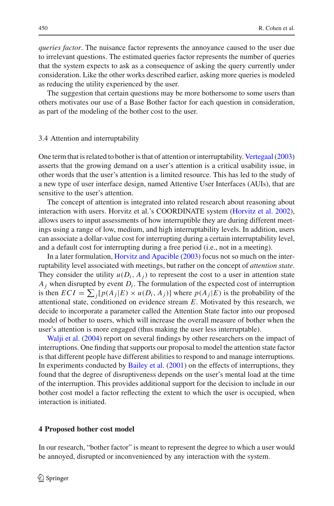*queries factor*. The nuisance factor represents the annoyance caused to the user due to irrelevant questions. The estimated queries factor represents the number of queries that the system expects to ask as a consequence of asking the query currently under consideration. Like the other works described earlier, asking more queries is modeled as reducing the utility experienced by the user.

The suggestion that certain questions may be more bothersome to some users than others motivates our use of a Base Bother factor for each question in consideration, as part of the modeling of the bother cost to the user.

#### 3.4 Attention and interruptability

One term that is related to bother is that of attention or interruptability. [Vertegaal\(2003\)](#page-43-0) asserts that the growing demand on a user's attention is a critical usability issue, in other words that the user's attention is a limited resource. This has led to the study of a new type of user interface design, named Attentive User Interfaces (AUIs), that are sensitive to the user's attention.

The concept of attention is integrated into related research about reasoning about interaction with users. Horvitz et al.'s COORDINATE system [\(Horvitz et al. 2002](#page-42-8)), allows users to input assessments of how interruptible they are during different meetings using a range of low, medium, and high interruptability levels. In addition, users can associate a dollar-value cost for interrupting during a certain interruptability level, and a default cost for interrupting during a free period (i.e., not in a meeting).

In a later formulation, [Horvitz and Apacible](#page-42-9) [\(2003\)](#page-42-9) focus not so much on the interruptability level associated with meetings, but rather on the concept of *attention state*. They consider the utility  $u(D_i, A_i)$  to represent the cost to a user in attention state  $A_j$  when disrupted by event  $D_i$ . The formulation of the expected cost of interruption is then  $ECI = \sum_j [p(A_j|E) \times u(D_i, A_j)]$  where  $p(A_j|E)$  is the probability of the attentional state, conditioned on evidence stream *E*. Motivated by this research, we decide to incorporate a parameter called the Attention State factor into our proposed model of bother to users, which will increase the overall measure of bother when the user's attention is more engaged (thus making the user less interruptable).

Walji et al. [\(2004\)](#page-43-1) report on several findings by other researchers on the impact of interruptions. One finding that supports our proposal to model the attention state factor is that different people have different abilities to respond to and manage interruptions. In experiments conducted by [Bailey et al.](#page-41-0) [\(2001](#page-41-0)) on the effects of interruptions, they found that the degree of disruptiveness depends on the user's mental load at the time of the interruption. This provides additional support for the decision to include in our bother cost model a factor reflecting the extent to which the user is occupied, when interaction is initiated.

# <span id="page-9-0"></span>**4 Proposed bother cost model**

In our research, "bother factor" is meant to represent the degree to which a user would be annoyed, disrupted or inconvenienced by any interaction with the system.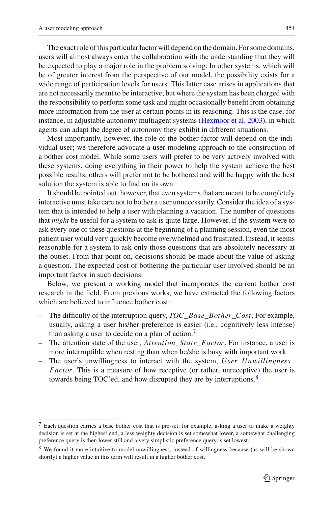The exact role of this particular factor will depend on the domain. For some domains, users will almost always enter the collaboration with the understanding that they will be expected to play a major role in the problem solving. In other systems, which will be of greater interest from the perspective of our model, the possibility exists for a wide range of participation levels for users. This latter case arises in applications that are not necessarily meant to be interactive, but where the system has been charged with the responsibility to perform some task and might occasionally benefit from obtaining more information from the user at certain points in its reasoning. This is the case, for instance, in adjustable autonomy multiagent systems [\(Hexmoor et al. 2003\)](#page-42-10), in which agents can adapt the degree of autonomy they exhibit in different situations.

Most importantly, however, the role of the bother factor will depend on the individual user; we therefore advocate a user modeling approach to the construction of a bother cost model. While some users will prefer to be very actively involved with these systems, doing everything in their power to help the system achieve the best possible results, others will prefer not to be bothered and will be happy with the best solution the system is able to find on its own.

It should be pointed out, however, that even systems that are meant to be completely interactive must take care not to bother a user unnecessarily. Consider the idea of a system that is intended to help a user with planning a vacation. The number of questions that *might* be useful for a system to ask is quite large. However, if the system were to ask every one of these questions at the beginning of a planning session, even the most patient user would very quickly become overwhelmed and frustrated. Instead, it seems reasonable for a system to ask only those questions that are absolutely necessary at the outset. From that point on, decisions should be made about the value of asking a question. The expected cost of bothering the particular user involved should be an important factor in such decisions.

Below, we present a working model that incorporates the current bother cost research in the field. From previous works, we have extracted the following factors which are believed to influence bother cost:

- The difficulty of the interruption query, *TOC*\_*Base*\_*Bother*\_*Cost*. For example, usually, asking a user his/her preference is easier (i.e., cognitively less intense) than asking a user to decide on a plan of action.
- The attention state of the user, *Attention*\_*State*\_*Factor*. For instance, a user is more interruptible when resting than when he/she is busy with important work.
- The user's unwillingness to interact with the system, *User*\_*Un*w*illingness*\_ *Factor*. This is a measure of how receptive (or rather, unreceptive) the user is towards being TOC'ed, and how disrupted they are by interruptions.<sup>8</sup>

<span id="page-10-0"></span> $7$  Each question carries a base bother cost that is pre-set; for example, asking a user to make a weighty decision is set at the highest end, a less weighty decision is set somewhat lower, a somewhat challenging preference query is then lower still and a very simplistic preference query is set lowest.

<span id="page-10-1"></span><sup>&</sup>lt;sup>8</sup> We found it more intuitive to model unwillingness, instead of willingness because (as will be shown shortly) a higher value in this term will result in a higher bother cost.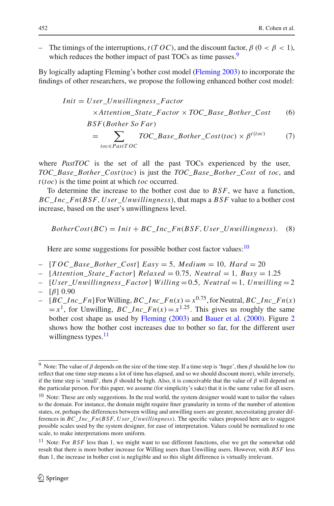The timings of the interruptions,  $t(TOC)$ , and the discount factor,  $\beta$  (0 <  $\beta$  < 1), which reduces the bother impact of past TOCs as time passes.<sup>9</sup>

By logically adapting Fleming's bother cost model [\(Fleming 2003\)](#page-42-2) to incorporate the findings of other researchers, we propose the following enhanced bother cost model:

$$
Init = User\_Unwillingness\_Factor
$$
  
\n×Attention\_State\_Factor × TOC\_Base\_Bother\_Cost (6)  
\n
$$
BSF(Bother So Far)
$$
  
\n
$$
= \sum_{toc \in PastTOC} TOC_Base_Bother_Cost(toc) \times \beta^{t(toc)}
$$
 (7)

where *PastTOC* is the set of all the past TOCs experienced by the user, *TOC*\_*Base*\_*Bother*\_*Cost*(*toc*) is just the *TOC*\_*Base*\_*Bother*\_*Cost* of *toc*, and *t*(*toc*) is the time point at which *toc* occurred.

To determine the increase to the bother cost due to *BSF*, we have a function, *BC*\_*Inc*\_*Fn*(*BSF*, *User*\_*Un*w*illingness*), that maps a *BSF* value to a bother cost increase, based on the user's unwillingness level.

$$
BotherCost(BC) = Init + BC\_Inc\_Fn(BSF, User\_Unwillingness).
$$
 (8)

Here are some suggestions for possible bother cost factor values:  $10$ 

- $-$  [*TOC* Base Bother Cost] *Easy* = 5, *Medium* = 10, *Hard* = 20
- $-$  [*Attention State Factor*] *Relaxed* = 0.75, *Neutral* = 1, *Busy* = 1.25
- [*User*\_*Un*w*illingness*\_*Factor*] *Willing* = 0.5, *Neutral* = 1, *Un*w*illing* = 2
- [β] 0.90
- $-$  [*BC\_Inc\_Fn*] For Willing, *BC\_Inc\_Fn(x)* =  $x^{0.75}$ , for Neutral, *BC\_Inc\_Fn(x)*  $= x^1$ , for Unwilling, *BC\_Inc\_Fn*( $\overline{x}$ ) =  $x^{1.25}$ . This gives us roughly the same bother cost shape as used by [Fleming](#page-42-2) [\(2003\)](#page-42-2) and [Bauer et al.](#page-41-2) [\(2000](#page-41-2)). Figure [2](#page-12-0) shows how the bother cost increases due to bother so far, for the different user willingness types.<sup>11</sup>

<span id="page-11-0"></span><sup>&</sup>lt;sup>9</sup> Note: The value of  $\beta$  depends on the size of the time step. If a time step is 'huge', then  $\beta$  should be low (to reflect that one time step means a lot of time has elapsed, and so we should discount more), while inversely, if the time step is 'small', then  $\beta$  should be high. Also, it is conceivable that the value of  $\beta$  will depend on the particular person. For this paper, we assume (for simplicity's sake) that it is the same value for all users.

<span id="page-11-1"></span><sup>&</sup>lt;sup>10</sup> Note: These are only suggestions. In the real world, the system designer would want to tailor the values to the domain. For instance, the domain might require finer granularity in terms of the number of attention states, or, perhaps the differences between willing and unwilling users are greater, necessitating greater differences in *BC*\_*Inc*\_*Fn*(*BSF*, *User*\_*Un*w*illingness*). The specific values proposed here are to suggest possible scales used by the system designer, for ease of interpretation. Values could be normalized to one scale, to make interpretations more uniform.

<span id="page-11-2"></span><sup>&</sup>lt;sup>11</sup> Note: For *BSF* less than 1, we might want to use different functions, else we get the somewhat odd result that there is more bother increase for Willing users than Unwilling users. However, with *BSF* less than 1, the increase in bother cost is negligible and so this slight difference is virtually irrelevant.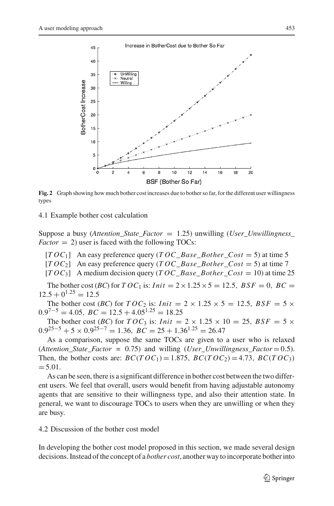

<span id="page-12-0"></span>**Fig. 2** Graph showing how much bother cost increases due to bother so far, for the different user willingness types

# 4.1 Example bother cost calculation

Suppose a busy (*Attention\_State\_Factor* = 1.25) unwilling (*User\_Unwillingness\_*  $Factor = 2$ ) user is faced with the following TOCs:

- $[TOC_1]$  An easy preference query  $(TOC\_Base\_Bother\_Cost = 5)$  at time 5
- $[TOC_2]$  An easy preference query (*T OC Base Bother Cost* = 5) at time 7
- $[TOC_3]$  A medium decision query  $(TOC\_Base\_Bother\_Cost = 10)$  at time 25

The bother cost (*BC*) for  $T O C_1$  is:  $Init = 2 \times 1.25 \times 5 = 12.5$ ,  $BSF = 0$ ,  $BC =$  $12.5 + 0^{1.25} = 12.5$ 

The bother cost (*BC*) for  $TOC_2$  is: *Init* = 2  $\times$  1.25  $\times$  5 = 12.5, *BSF* = 5  $\times$  $0.9^{7-5} = 4.05$ ,  $BC = 12.5 + 4.05^{1.25} = 18.25$ 

The bother cost (*BC*) for  $TOC_3$  is: *Init* =  $2 \times 1.25 \times 10 = 25$ ,  $BSF = 5 \times$  $0.9^{25-5} + 5 \times 0.9^{25-7} = 1.36$ ,  $BC = 25 + 1.36^{1.25} = 26.47$ 

As a comparison, suppose the same TOCs are given to a user who is relaxed (*Attention*\_*State\_Factor* = 0.75) and willing (*User*\_*Unwillingness*\_*Factor* = 0.5). Then, the bother costs are:  $BC(TOC_1) = 1.875$ ,  $BC(TOC_2) = 4.73$ ,  $BC(TOC_3)$  $= 5.01.$ 

As can be seen, there is a significant difference in bother cost between the two different users. We feel that overall, users would benefit from having adjustable autonomy agents that are sensitive to their willingness type, and also their attention state. In general, we want to discourage TOCs to users when they are unwilling or when they are busy.

# 4.2 Discussion of the bother cost model

In developing the bother cost model proposed in this section, we made several design decisions. Instead of the concept of a *bother cost*, another way to incorporate bother into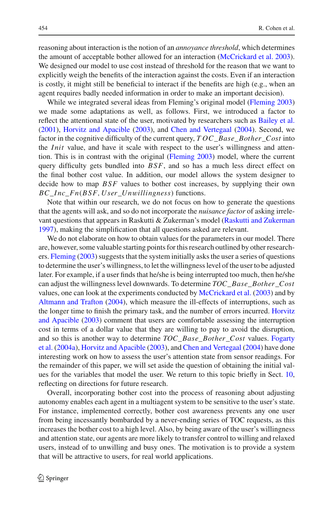reasoning about interaction is the notion of an *annoyance threshold*, which determines the amount of acceptable bother allowed for an interaction [\(McCrickard et al. 2003](#page-42-11)). We designed our model to use cost instead of threshold for the reason that we want to explicitly weigh the benefits of the interaction against the costs. Even if an interaction is costly, it might still be beneficial to interact if the benefits are high (e.g., when an agent requires badly needed information in order to make an important decision).

While we integrated several ideas from Fleming's original model [\(Fleming 2003\)](#page-42-2) we made some adaptations as well, as follows. First, we introduced a factor to reflect the attentional state of the user, motivated by researchers such as [Bailey et al.](#page-41-0) [\(2001\)](#page-41-0), [Horvitz and Apacible](#page-42-9) [\(2003\)](#page-42-9), and [Chen and Vertegaal](#page-41-3) [\(2004\)](#page-41-3). Second, we factor in the cognitive difficulty of the current query, *T OC*\_*Base*\_*Bother*\_*Cost* into the *Init* value, and have it scale with respect to the user's willingness and attention. This is in contrast with the original [\(Fleming 2003](#page-42-2)) model, where the current query difficulty gets bundled into *BSF*, and so has a much less direct effect on the final bother cost value. In addition, our model allows the system designer to decide how to map *BSF* values to bother cost increases, by supplying their own *BC*\_*Inc*\_*Fn*(*BSF*, *User*\_*Un*w*illingness*) functions.

Note that within our research, we do not focus on how to generate the questions that the agents will ask, and so do not incorporate the *nuisance factor* of asking irrelevant questions that appears in Raskutti & Zukerman's model [\(Raskutti and Zukerman](#page-42-7) [1997\)](#page-42-7), making the simplification that all questions asked are relevant.

We do not elaborate on how to obtain values for the parameters in our model. There are, however, some valuable starting points for this research outlined by other researchers. [Fleming](#page-42-2) [\(2003\)](#page-42-2) suggests that the system initially asks the user a series of questions to determine the user's willingness, to let the willingness level of the user to be adjusted later. For example, if a user finds that he/she is being interrupted too much, then he/she can adjust the willingness level downwards. To determine *TOC*\_*Base*\_*Bother*\_*Cost* values, one can look at the experiments conducted by [McCrickard et al.](#page-42-11) [\(2003](#page-42-11)) and by [Altmann and Trafton](#page-41-4) [\(2004\)](#page-41-4), which measure the ill-effects of interruptions, such as the longer ti[me](#page-42-9) [to](#page-42-9) [finish](#page-42-9) [the](#page-42-9) [primary](#page-42-9) [task,](#page-42-9) [and](#page-42-9) [the](#page-42-9) [number](#page-42-9) [of](#page-42-9) [errors](#page-42-9) [incurred.](#page-42-9) Horvitz and Apacible [\(2003\)](#page-42-9) comment that users are comfortable assessing the interruption cost in terms of a dollar value that they are willing to pay to avoid the disruption, and [so](#page-42-12) [this](#page-42-12) [is](#page-42-12) [another](#page-42-12) [way](#page-42-12) [to](#page-42-12) [determine](#page-42-12) *TOC*\_*Base*\_*Bother*\_*Cost* values. Fogarty et al. [\(2004a](#page-42-12)), [Horvitz and Apacible](#page-42-9) [\(2003\)](#page-42-9), and [Chen and Vertegaal](#page-41-3) [\(2004\)](#page-41-3) have done interesting work on how to assess the user's attention state from sensor readings. For the remainder of this paper, we will set aside the question of obtaining the initial values for the variables that model the user. We return to this topic briefly in Sect. [10,](#page-32-0) reflecting on directions for future research.

Overall, incorporating bother cost into the process of reasoning about adjusting autonomy enables each agent in a multiagent system to be sensitive to the user's state. For instance, implemented correctly, bother cost awareness prevents any one user from being incessantly bombarded by a never-ending series of TOC requests, as this increases the bother cost to a high level. Also, by being aware of the user's willingness and attention state, our agents are more likely to transfer control to willing and relaxed users, instead of to unwilling and busy ones. The motivation is to provide a system that will be attractive to users, for real world applications.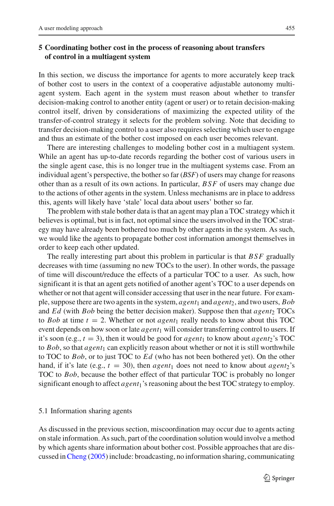# **5 Coordinating bother cost in the process of reasoning about transfers of control in a multiagent system**

In this section, we discuss the importance for agents to more accurately keep track of bother cost to users in the context of a cooperative adjustable autonomy multiagent system. Each agent in the system must reason about whether to transfer decision-making control to another entity (agent or user) or to retain decision-making control itself, driven by considerations of maximizing the expected utility of the transfer-of-control strategy it selects for the problem solving. Note that deciding to transfer decision-making control to a user also requires selecting which user to engage and thus an estimate of the bother cost imposed on each user becomes relevant.

There are interesting challenges to modeling bother cost in a multiagent system. While an agent has up-to-date records regarding the bother cost of various users in the single agent case, this is no longer true in the multiagent systems case. From an individual agent's perspective, the bother so far (*BSF*) of users may change for reasons other than as a result of its own actions. In particular, *BSF* of users may change due to the actions of other agents in the system. Unless mechanisms are in place to address this, agents will likely have 'stale' local data about users' bother so far.

The problem with stale bother data is that an agent may plan a TOC strategy which it believes is optimal, but is in fact, not optimal since the users involved in the TOC strategy may have already been bothered too much by other agents in the system. As such, we would like the agents to propagate bother cost information amongst themselves in order to keep each other updated.

The really interesting part about this problem in particular is that *BSF* gradually decreases with time (assuming no new TOCs to the user). In other words, the passage of time will discount/reduce the effects of a particular TOC to a user. As such, how significant it is that an agent gets notified of another agent's TOC to a user depends on whether or not that agent will consider accessing that user in the near future. For example, suppose there are two agents in the system, *agent*<sup>1</sup> and *agent*2, and two users, *Bob* and *Ed* (with *Bob* being the better decision maker). Suppose then that *agent*<sub>2</sub> TOCs to *Bob* at time  $t = 2$ . Whether or not *agent*<sub>1</sub> really needs to know about this TOC event depends on how soon or late *agent*<sub>1</sub> will consider transferring control to users. If it's soon (e.g.,  $t = 3$ ), then it would be good for *agent*<sub>1</sub> to know about *agent*<sub>2</sub>'s TOC to *Bob*, so that *agent*<sub>1</sub> can explicitly reason about whether or not it is still worthwhile to TOC to *Bob*, or to just TOC to *Ed* (who has not been bothered yet). On the other hand, if it's late (e.g.,  $t = 30$ ), then *agent*<sub>1</sub> does not need to know about *agent*<sub>2</sub>'s TOC to *Bob*, because the bother effect of that particular TOC is probably no longer significant enough to affect *agent*<sub>1</sub>'s reasoning about the best TOC strategy to employ.

# 5.1 Information sharing agents

As discussed in the previous section, miscoordination may occur due to agents acting on stale information. As such, part of the coordination solution would involve a method by which agents share information about bother cost. Possible approaches that are discussed in[Cheng](#page-42-6) [\(2005\)](#page-42-6) include: broadcasting, no information sharing, communicating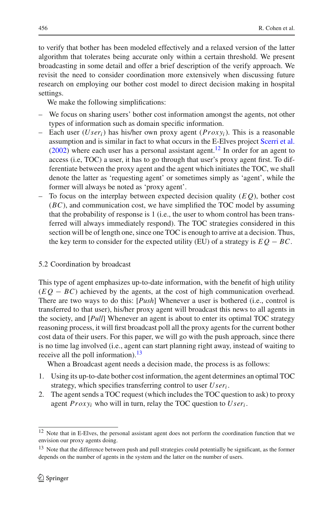to verify that bother has been modeled effectively and a relaxed version of the latter algorithm that tolerates being accurate only within a certain threshold. We present broadcasting in some detail and offer a brief description of the verify approach. We revisit the need to consider coordination more extensively when discussing future research on employing our bother cost model to direct decision making in hospital settings.

We make the following simplifications:

- We focus on sharing users' bother cost information amongst the agents, not other types of information such as domain specific information.
- Each user (*Useri*) has his/her own proxy agent (*Proxyi*). This is a reasonable assumption and is similar in fact to what occurs in the E-Elves project [Scerri et al.](#page-42-4)  $(2002)$  where each user has a personal assistant agent.<sup>[12](#page-15-0)</sup> In order for an agent to access (i.e, TOC) a user, it has to go through that user's proxy agent first. To differentiate between the proxy agent and the agent which initiates the TOC, we shall denote the latter as 'requesting agent' or sometimes simply as 'agent', while the former will always be noted as 'proxy agent'.
- To focus on the interplay between expected decision quality (*E Q*), bother cost (*BC*), and communication cost, we have simplified the TOC model by assuming that the probability of response is 1 (i.e., the user to whom control has been transferred will always immediately respond). The TOC strategies considered in this section will be of length one, since one TOC is enough to arrive at a decision. Thus, the key term to consider for the expected utility (EU) of a strategy is  $EQ - BC$ .

# <span id="page-15-2"></span>5.2 Coordination by broadcast

This type of agent emphasizes up-to-date information, with the benefit of high utility  $(EO - BC)$  achieved by the agents, at the cost of high communication overhead. There are two ways to do this: [*Push*] Whenever a user is bothered (i.e., control is transferred to that user), his/her proxy agent will broadcast this news to all agents in the society, and [*Pull*] Whenever an agent is about to enter its optimal TOC strategy reasoning process, it will first broadcast poll all the proxy agents for the current bother cost data of their users. For this paper, we will go with the push approach, since there is no time lag involved (i.e., agent can start planning right away, instead of waiting to receive all the poll information). $13$ 

When a Broadcast agent needs a decision made, the process is as follows:

- 1. Using its up-to-date bother cost information, the agent determines an optimal TOC strategy, which specifies transferring control to user *Useri* .
- 2. The agent sends a TOC request (which includes the TOC question to ask) to proxy agent *Proxyi* who will in turn, relay the TOC question to *Useri* .

<span id="page-15-0"></span><sup>12</sup> Note that in E-Elves, the personal assistant agent does not perform the coordination function that we envision our proxy agents doing.

<span id="page-15-1"></span><sup>&</sup>lt;sup>13</sup> Note that the difference between push and pull strategies could potentially be significant, as the former depends on the number of agents in the system and the latter on the number of users.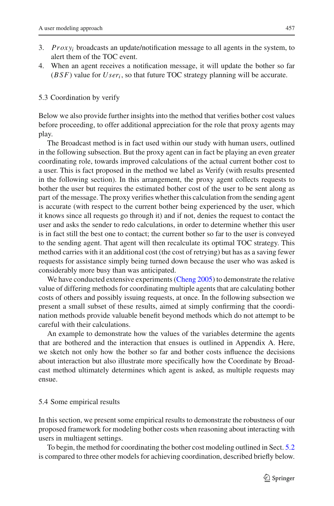- 3. *Proxyi* broadcasts an update/notification message to all agents in the system, to alert them of the TOC event.
- 4. When an agent receives a notification message, it will update the bother so far  $(BSF)$  value for  $User_i$ , so that future TOC strategy planning will be accurate.

# <span id="page-16-0"></span>5.3 Coordination by verify

Below we also provide further insights into the method that verifies bother cost values before proceeding, to offer additional appreciation for the role that proxy agents may play.

The Broadcast method is in fact used within our study with human users, outlined in the following subsection. But the proxy agent can in fact be playing an even greater coordinating role, towards improved calculations of the actual current bother cost to a user. This is fact proposed in the method we label as Verify (with results presented in the following section). In this arrangement, the proxy agent collects requests to bother the user but requires the estimated bother cost of the user to be sent along as part of the message. The proxy verifies whether this calculation from the sending agent is accurate (with respect to the current bother being experienced by the user, which it knows since all requests go through it) and if not, denies the request to contact the user and asks the sender to redo calculations, in order to determine whether this user is in fact still the best one to contact; the current bother so far to the user is conveyed to the sending agent. That agent will then recalculate its optimal TOC strategy. This method carries with it an additional cost (the cost of retrying) but has as a saving fewer requests for assistance simply being turned down because the user who was asked is considerably more busy than was anticipated.

We have conducted extensive experiments [\(Cheng 2005\)](#page-42-6) to demonstrate the relative value of differing methods for coordinating multiple agents that are calculating bother costs of others and possibly issuing requests, at once. In the following subsection we present a small subset of these results, aimed at simply confirming that the coordination methods provide valuable benefit beyond methods which do not attempt to be careful with their calculations.

An example to demonstrate how the values of the variables determine the agents that are bothered and the interaction that ensues is outlined in Appendix A. Here, we sketch not only how the bother so far and bother costs influence the decisions about interaction but also illustrate more specifically how the Coordinate by Broadcast method ultimately determines which agent is asked, as multiple requests may ensue.

### 5.4 Some empirical results

In this section, we present some empirical results to demonstrate the robustness of our proposed framework for modeling bother costs when reasoning about interacting with users in multiagent settings.

To begin, the method for coordinating the bother cost modeling outlined in Sect. [5.2](#page-15-2) is compared to three other models for achieving coordination, described briefly below.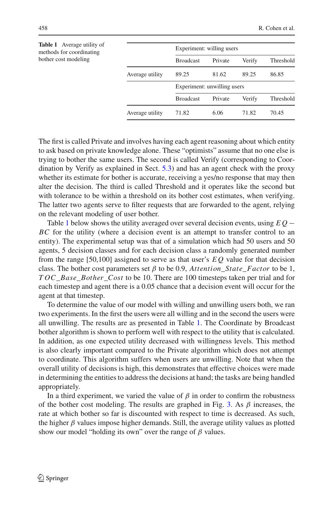<span id="page-17-0"></span>

| <b>Table 1</b> Average utility of<br>methods for coordinating<br>bother cost modeling |                 | Experiment: willing users   |         |        |           |
|---------------------------------------------------------------------------------------|-----------------|-----------------------------|---------|--------|-----------|
|                                                                                       |                 | <b>Broadcast</b>            | Private | Verify | Threshold |
|                                                                                       | Average utility | 89.25                       | 81.62   | 89.25  | 86.85     |
|                                                                                       |                 | Experiment: unwilling users |         |        |           |
|                                                                                       |                 | <b>Broadcast</b>            | Private | Verify | Threshold |
|                                                                                       | Average utility | 71.82                       | 6.06    | 71.82  | 70.45     |

The first is called Private and involves having each agent reasoning about which entity to ask based on private knowledge alone. These "optimists" assume that no one else is trying to bother the same users. The second is called Verify (corresponding to Coordination by Verify as explained in Sect. [5.3\)](#page-16-0) and has an agent check with the proxy whether its estimate for bother is accurate, receiving a yes/no response that may then alter the decision. The third is called Threshold and it operates like the second but with tolerance to be within a threshold on its bother cost estimates, when verifying. The latter two agents serve to filter requests that are forwarded to the agent, relying on the relevant modeling of user bother.

Table [1](#page-17-0) below shows the utility averaged over several decision events, using *E Q* − *BC* for the utility (where a decision event is an attempt to transfer control to an entity). The experimental setup was that of a simulation which had 50 users and 50 agents, 5 decision classes and for each decision class a randomly generated number from the range [50,100] assigned to serve as that user's *E Q* value for that decision class. The bother cost parameters set  $\beta$  to be 0.9, *Attention State Factor* to be 1, *T OC*\_*Base*\_*Bother*\_*Cost* to be 10. There are 100 timesteps taken per trial and for each timestep and agent there is a 0.05 chance that a decision event will occur for the agent at that timestep.

To determine the value of our model with willing and unwilling users both, we ran two experiments. In the first the users were all willing and in the second the users were all unwilling. The results are as presented in Table [1.](#page-17-0) The Coordinate by Broadcast bother algorithm is shown to perform well with respect to the utility that is calculated. In addition, as one expected utility decreased with willingness levels. This method is also clearly important compared to the Private algorithm which does not attempt to coordinate. This algorithm suffers when users are unwilling. Note that when the overall utility of decisions is high, this demonstrates that effective choices were made in determining the entities to address the decisions at hand; the tasks are being handled appropriately.

In a third experiment, we varied the value of  $\beta$  in order to confirm the robustness of the bother cost modeling. The results are graphed in Fig. [3.](#page-18-0) As  $\beta$  increases, the rate at which bother so far is discounted with respect to time is decreased. As such, the higher  $\beta$  values impose higher demands. Still, the average utility values as plotted show our model "holding its own" over the range of  $\beta$  values.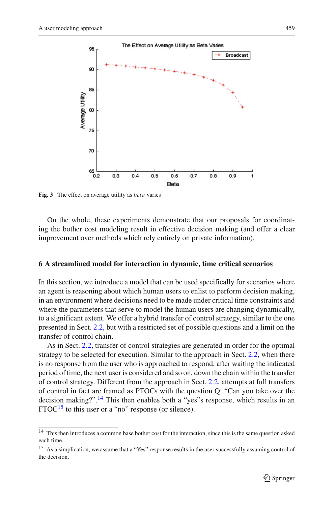

<span id="page-18-0"></span>**Fig. 3** The effect on average utility as *beta* varies

On the whole, these experiments demonstrate that our proposals for coordinating the bother cost modeling result in effective decision making (and offer a clear improvement over methods which rely entirely on private information).

### <span id="page-18-3"></span>**6 A streamlined model for interaction in dynamic, time critical scenarios**

In this section, we introduce a model that can be used specifically for scenarios where an agent is reasoning about which human users to enlist to perform decision making, in an environment where decisions need to be made under critical time constraints and where the parameters that serve to model the human users are changing dynamically, to a significant extent. We offer a hybrid transfer of control strategy, similar to the one presented in Sect. [2.2,](#page-5-1) but with a restricted set of possible questions and a limit on the transfer of control chain.

As in Sect. [2.2,](#page-5-1) transfer of control strategies are generated in order for the optimal strategy to be selected for execution. Similar to the approach in Sect. [2.2,](#page-5-1) when there is no response from the user who is approached to respond, after waiting the indicated period of time, the next user is considered and so on, down the chain within the transfer of control strategy. Different from the approach in Sect. [2.2,](#page-5-1) attempts at full transfers of control in fact are framed as PTOCs with the question Q: "Can you take over the decision making?"[.14](#page-18-1) This then enables both a "yes"s response, which results in an  $FTOC<sup>15</sup>$  to this user or a "no" response (or silence).

<span id="page-18-1"></span><sup>&</sup>lt;sup>14</sup> This then introduces a common base bother cost for the interaction, since this is the same question asked each time.

<span id="page-18-2"></span><sup>&</sup>lt;sup>15</sup> As a simplication, we assume that a "Yes" response results in the user successfully assuming control of the decision.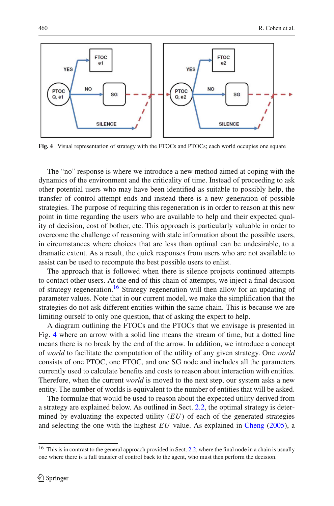

<span id="page-19-1"></span>**Fig. 4** Visual representation of strategy with the FTOCs and PTOCs; each world occupies one square

The "no" response is where we introduce a new method aimed at coping with the dynamics of the environment and the criticality of time. Instead of proceeding to ask other potential users who may have been identified as suitable to possibly help, the transfer of control attempt ends and instead there is a new generation of possible strategies. The purpose of requiring this regeneration is in order to reason at this new point in time regarding the users who are available to help and their expected quality of decision, cost of bother, etc. This approach is particularly valuable in order to overcome the challenge of reasoning with stale information about the possible users, in circumstances where choices that are less than optimal can be undesirable, to a dramatic extent. As a result, the quick responses from users who are not available to assist can be used to recompute the best possible users to enlist.

The approach that is followed when there is silence projects continued attempts to contact other users. At the end of this chain of attempts, we inject a final decision of strategy regeneration.<sup>16</sup> Strategy regeneration will then allow for an updating of parameter values. Note that in our current model, we make the simplification that the strategies do not ask different entities within the same chain. This is because we are limiting ourself to only one question, that of asking the expert to help.

A diagram outlining the FTOCs and the PTOCs that we envisage is presented in Fig. [4](#page-19-1) where an arrow with a solid line means the stream of time, but a dotted line means there is no break by the end of the arrow. In addition, we introduce a concept of *world* to facilitate the computation of the utility of any given strategy. One *world* consists of one PTOC, one FTOC, and one SG node and includes all the parameters currently used to calculate benefits and costs to reason about interaction with entities. Therefore, when the current *world* is moved to the next step, our system asks a new entity. The number of worlds is equivalent to the number of entities that will be asked.

The formulae that would be used to reason about the expected utility derived from a strategy are explained below. As outlined in Sect. [2.2,](#page-5-1) the optimal strategy is determined by evaluating the expected utility  $(EU)$  of each of the generated strategies and selecting the one with the highest *EU* value. As explained in [Cheng](#page-42-6) [\(2005\)](#page-42-6), a

<span id="page-19-0"></span><sup>&</sup>lt;sup>16</sup> This is in contrast to the general approach provided in Sect. [2.2,](#page-5-1) where the final node in a chain is usually one where there is a full transfer of control back to the agent, who must then perform the decision.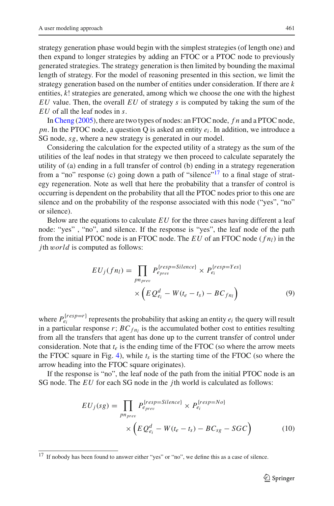strategy generation phase would begin with the simplest strategies (of length one) and then expand to longer strategies by adding an FTOC or a PTOC node to previously generated strategies. The strategy generation is then limited by bounding the maximal length of strategy. For the model of reasoning presented in this section, we limit the strategy generation based on the number of entities under consideration. If there are *k* entities, *k*! strategies are generated, among which we choose the one with the highest *EU* value. Then, the overall *EU* of strategy *s* is computed by taking the sum of the *EU* of all the leaf nodes in *s*.

In[Cheng](#page-42-6) [\(2005\)](#page-42-6), there are two types of nodes: an FTOC node, *f n* and a PTOC node, *pn*. In the PTOC node, a question Q is asked an entity *ei* . In addition, we introduce a SG node, *sg*, where a new strategy is generated in our model.

Considering the calculation for the expected utility of a strategy as the sum of the utilities of the leaf nodes in that strategy we then proceed to calculate separately the utility of (a) ending in a full transfer of control (b) ending in a strategy regeneration from a "no" response (c) going down a path of "silence"<sup>17</sup> to a final stage of strategy regeneration. Note as well that here the probability that a transfer of control is occurring is dependent on the probability that all the PTOC nodes prior to this one are silence and on the probability of the response associated with this node ("yes", "no" or silence).

Below are the equations to calculate *EU* for the three cases having different a leaf node: "yes" , "no", and silence. If the response is "yes", the leaf node of the path from the initial PTOC node is an FTOC node. The  $EU$  of an FTOC node  $(fn_l)$  in the *j*th *world* is computed as follows:

$$
EU_j(fn_l) = \prod_{p n_{prev}} P_{e_{prev}}^{\{resp=Silence\}} \times P_{e_i}^{\{resp=Yes\}}
$$

$$
\times \left( EQ_{e_i}^d - W(t_e - t_s) - BC_{fn_l} \right)
$$
(9)

where  $P_{e_i}^{\{resp=r\}}$  represents the probability that asking an entity  $e_i$  the query will result in a particular response  $r$ ;  $BC_{fn_l}$  is the accumulated bother cost to entities resulting from all the transfers that agent has done up to the current transfer of control under consideration. Note that  $t_e$  is the ending time of the FTOC (so where the arrow meets the FTOC square in Fig. [4\)](#page-19-1), while  $t_s$  is the starting time of the FTOC (so where the arrow heading into the FTOC square originates).

If the response is "no", the leaf node of the path from the initial PTOC node is an SG node. The *EU* for each SG node in the *j*th world is calculated as follows:

$$
EU_j(sg) = \prod_{p n_{prev}} P_{e_{prev}}^{\{resp=Silence\}} \times P_{e_i}^{\{resp=No\}} \times P_{e_i}^{\{resp=No\}} \times \left( EQ_{e_i}^d - W(t_e - t_s) - BC_{sg} - SGC \right)
$$
 (10)

<span id="page-20-0"></span><sup>17</sup> If nobody has been found to answer either "yes" or "no", we define this as a case of silence.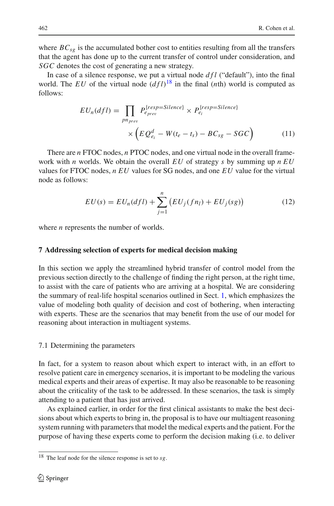where  $BC_{sg}$  is the accumulated bother cost to entities resulting from all the transfers that the agent has done up to the current transfer of control under consideration, and *SGC* denotes the cost of generating a new strategy.

In case of a silence response, we put a virtual node  $dfl$  ("default"), into the final world. The *EU* of the virtual node  $(dfl)^{18}$  $(dfl)^{18}$  $(dfl)^{18}$  in the final (*n*th) world is computed as follows:

$$
EU_n(dfl) = \prod_{p n_{prev}} P_{e_{prev}}^{\{resp=Silence\}} \times P_{e_i}^{\{resp=Silence\}} \times \left(EQ_{e_i}^d - W(t_e - t_s) - BC_{sg} - SGC\right)
$$
(11)

There are *n* FTOC nodes, *n* PTOC nodes, and one virtual node in the overall framework with *n* worlds. We obtain the overall *EU* of strategy *s* by summing up *n EU* values for FTOC nodes, *n EU* values for SG nodes, and one *EU* value for the virtual node as follows:

$$
EU(s) = EU_n(dfl) + \sum_{j=1}^{n} (EU_j(fn_l) + EU_j(sg))
$$
 (12)

<span id="page-21-2"></span>where *n* represents the number of worlds.

### <span id="page-21-0"></span>**7 Addressing selection of experts for medical decision making**

In this section we apply the streamlined hybrid transfer of control model from the previous section directly to the challenge of finding the right person, at the right time, to assist with the care of patients who are arriving at a hospital. We are considering the summary of real-life hospital scenarios outlined in Sect. [1,](#page-1-1) which emphasizes the value of modeling both quality of decision and cost of bothering, when interacting with experts. These are the scenarios that may benefit from the use of our model for reasoning about interaction in multiagent systems.

### 7.1 Determining the parameters

In fact, for a system to reason about which expert to interact with, in an effort to resolve patient care in emergency scenarios, it is important to be modeling the various medical experts and their areas of expertise. It may also be reasonable to be reasoning about the criticality of the task to be addressed. In these scenarios, the task is simply attending to a patient that has just arrived.

As explained earlier, in order for the first clinical assistants to make the best decisions about which experts to bring in, the proposal is to have our multiagent reasoning system running with parameters that model the medical experts and the patient. For the purpose of having these experts come to perform the decision making (i.e. to deliver

<span id="page-21-1"></span><sup>18</sup> The leaf node for the silence response is set to *sg*.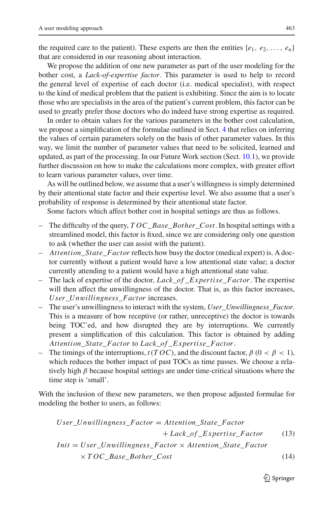the required care to the patient). These experts are then the entities  $\{e_1, e_2, \ldots, e_n\}$ that are considered in our reasoning about interaction.

We propose the addition of one new parameter as part of the user modeling for the bother cost, a *Lack-of-expertise factor*. This parameter is used to help to record the general level of expertise of each doctor (i.e. medical specialist), with respect to the kind of medical problem that the patient is exhibiting. Since the aim is to locate those who are specialists in the area of the patient's current problem, this factor can be used to greatly prefer those doctors who do indeed have strong expertise as required.

In order to obtain values for the various parameters in the bother cost calculation, we propose a simplification of the formulae outlined in Sect. [4](#page-9-0) that relies on inferring the values of certain parameters solely on the basis of other parameter values. In this way, we limit the number of parameter values that need to be solicited, learned and updated, as part of the processing. In our Future Work section (Sect. [10.1\)](#page-35-0), we provide further discussion on how to make the calculations more complex, with greater effort to learn various parameter values, over time.

As will be outlined below, we assume that a user's willingness is simply determined by their attentional state factor and their expertise level. We also assume that a user's probability of response is determined by their attentional state factor.

Some factors which affect bother cost in hospital settings are thus as follows.

- The difficulty of the query, *T OC*\_*Base*\_*Bother*\_*Cost*. In hospital settings with a streamlined model, this factor is fixed, since we are considering only one question to ask (whether the user can assist with the patient).
- *Attention*\_*State*\_*Factor* reflects how busy the doctor (medical expert) is. A doctor currently without a patient would have a low attentional state value; a doctor currently attending to a patient would have a high attentional state value.
- The lack of expertise of the doctor, *Lack*\_*of* \_*Expertise*\_*Factor*. The expertise will then affect the unwillingness of the doctor. That is, as this factor increases, *User*\_*Un*w*illingness*\_*Factor* increases.
- The user's unwillingness to interact with the system, *User*\_*Unwillingness*\_*Factor*. This is a measure of how receptive (or rather, unreceptive) the doctor is towards being TOC'ed, and how disrupted they are by interruptions. We currently present a simplification of this calculation. This factor is obtained by adding *Attention*\_*State*\_*Factor* to *Lack*\_*of* \_*Expertise*\_*Factor*.
- The timings of the interruptions,  $t(TOC)$ , and the discount factor,  $β(0 < β < 1)$ , which reduces the bother impact of past TOCs as time passes. We choose a relatively high  $\beta$  because hospital settings are under time-critical situations where the time step is 'small'.

<span id="page-22-0"></span>With the inclusion of these new parameters, we then propose adjusted formulae for modeling the bother to users, as follows:

\n
$$
\text{User\_Unwillingness\_Factor} = \text{Attention\_State\_Factor}
$$
\n $+ \text{Lack\_of\_Expertise\_Factor}$ \n $\text{Init} = \text{User\_Unwillingness\_Factor} \times \text{Attention\_State\_Factor}$ \n $\times \text{TOC\_Base\_Bother\_Cost}$ \n $\tag{14}$ \n

 $\mathcal{L}$  Springer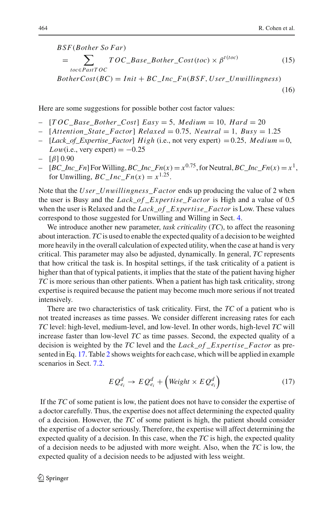*BSF*(*Bother So Far*)

$$
=\sum_{toc \in PastTOC} TOC\_Base\_Bother\_Cost(toc) \times \beta^{t(toc)} \tag{15}
$$

 $BotherCost(BC) = Init + BC$  *Inc*  $Fn(BSF, User Unwillineness)$ (16)

Here are some suggestions for possible bother cost factor values:

- $-$  [*TOC* Base Bother Cost] Easy = 5, Medium = 10, *Hard* = 20
- [*Attention*\_*State*\_*Factor*] *Relaxed* = 0.75, *Neutral* = 1, *Busy* = 1.25
- [*Lack*\_*of*\_*Expertise*\_*Factor*] *High* (i.e., not very expert) = 0.25, *Medium* = 0,  $Low(i.e., very expert) = -0.25$
- [β] 0.90
- [*BC Inc Fn*] For Willing, *BC Inc Fn*(*x*) =  $x^{0.75}$ , for Neutral, *BC Inc Fn*(*x*) =  $x^1$ , for Unwilling, *BC Inc*  $Fn(x) = x^{1.25}$ .

Note that the *User*\_*Un*w*illingness*\_*Factor* ends up producing the value of 2 when the user is Busy and the *Lack*\_*of* \_*Expertise*\_*Factor* is High and a value of 0.5 when the user is Relaxed and the *Lack*\_*of* \_*Expertise*\_*Factor* is Low. These values correspond to those suggested for Unwilling and Willing in Sect. [4.](#page-9-0)

We introduce another new parameter, *task criticality* (*TC*), to affect the reasoning about interaction. *TC*is used to enable the expected quality of a decision to be weighted more heavily in the overall calculation of expected utility, when the case at hand is very critical. This parameter may also be adjusted, dynamically. In general, *TC* represents that how critical the task is. In hospital settings, if the task criticality of a patient is higher than that of typical patients, it implies that the state of the patient having higher *TC* is more serious than other patients. When a patient has high task criticality, strong expertise is required because the patient may become much more serious if not treated intensively.

There are two characteristics of task criticality. First, the *TC* of a patient who is not treated increases as time passes. We consider different increasing rates for each *TC* level: high-level, medium-level, and low-level. In other words, high-level *TC* will increase faster than low-level *TC* as time passes. Second, the expected quality of a decision is weighted by the *TC* level and the *Lack*\_*of* \_*Expertise*\_*Factor* as presented in Eq. [17.](#page-23-0) Table [2](#page-24-0) shows weights for each case, which will be applied in example scenarios in Sect. [7.2.](#page-24-1)

$$
EQ_{e_i}^d \to EQ_{e_i}^d + \left( Weight \times EQ_{e_i}^d \right) \tag{17}
$$

<span id="page-23-0"></span>If the *TC* of some patient is low, the patient does not have to consider the expertise of a doctor carefully. Thus, the expertise does not affect determining the expected quality of a decision. However, the *TC* of some patient is high, the patient should consider the expertise of a doctor seriously. Therefore, the expertise will affect determining the expected quality of a decision. In this case, when the *TC* is high, the expected quality of a decision needs to be adjusted with more weight. Also, when the *TC* is low, the expected quality of a decision needs to be adjusted with less weight.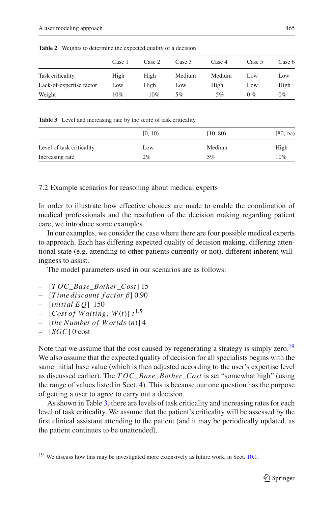|                          | Case 1 | Case 2 | Case 3 | Case 4 | Case 5 | Case 6 |
|--------------------------|--------|--------|--------|--------|--------|--------|
| Task criticality         | High   | High   | Medium | Medium | Low    | Low    |
| Lack-of-expertise factor | Low    | High   | Low    | High   | Low    | High   |
| Weight                   | 10%    | $-10%$ | 5%     | $-5%$  | $0\%$  | $0\%$  |

<span id="page-24-0"></span>**Table 2** Weights to determine the expected quality of a decision

**Table 3** Level and increasing rate by the score of task criticality

<span id="page-24-3"></span>

|                           | [0, 10) | [10, 80) | $[80, \infty)$ |
|---------------------------|---------|----------|----------------|
| Level of task criticality | Low     | Medium   | High           |
| Increasing rate           | $2\%$   | 5%       | 10%            |

<span id="page-24-1"></span>7.2 Example scenarios for reasoning about medical experts

In order to illustrate how effective choices are made to enable the coordination of medical professionals and the resolution of the decision making regarding patient care, we introduce some examples.

In our examples, we consider the case where there are four possible medical experts to approach. Each has differing expected quality of decision making, differing attentional state (e.g. attending to other patients currently or not), different inherent willingness to assist.

The model parameters used in our scenarios are as follows:

- [*T OC*\_*Base*\_*Bother*\_*Cost*] 15
- [*T ime discount f actor* β] 0.90
- [*initial E Q*] 150
- [*Cost of Waiting*, *W*(*t*)] *t*1.<sup>5</sup>
- [*the Number of W orlds* (*n*)] 4
- $-$  [*SGC*] 0 cost

Note that we assume that the cost caused by regenerating a strategy is simply zero.<sup>19</sup> We also assume that the expected quality of decision for all specialists begins with the same initial base value (which is then adjusted according to the user's expertise level as discussed earlier). The *T OC*\_*Base*\_*Bother*\_*Cost* is set "somewhat high" (using the range of values listed in Sect. [4\)](#page-9-0). This is because our one question has the purpose of getting a user to agree to carry out a decision.

As shown in Table [3,](#page-24-3) there are levels of task criticality and increasing rates for each level of task criticality. We assume that the patient's criticality will be assessed by the first clinical assistant attending to the patient (and it may be periodically updated, as the patient continues to be unattended).

<span id="page-24-2"></span><sup>&</sup>lt;sup>19</sup> We discuss how this may be investigated more extensively as future work, in Sect. [10.1.](#page-35-0)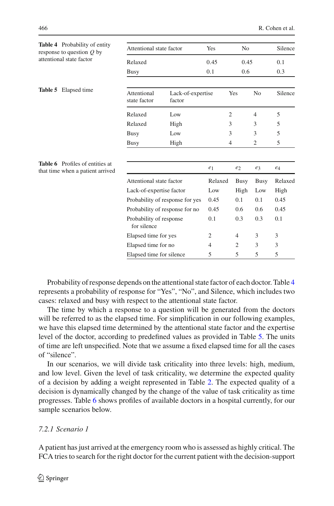<span id="page-25-1"></span><span id="page-25-0"></span>

| <b>Table 4</b> Probability of entity<br>response to question $Q$ by        | Attentional state factor               |                                 | Yes            | N <sub>0</sub> |                | Silence |
|----------------------------------------------------------------------------|----------------------------------------|---------------------------------|----------------|----------------|----------------|---------|
| attentional state factor                                                   | Relaxed                                |                                 | 0.45           | 0.45           |                | 0.1     |
|                                                                            | <b>Busy</b>                            |                                 | 0.1            | 0.6            |                | 0.3     |
| <b>Table 5</b> Elapsed time                                                | Attentional<br>state factor            | Lack-of-expertise<br>factor     |                | Yes            | N <sub>0</sub> | Silence |
|                                                                            | Relaxed                                | Low                             | 2              |                | 4              | 5       |
|                                                                            | Relaxed                                | High                            | 3              |                | 3              | 5       |
|                                                                            | <b>Busy</b>                            | Low                             | 3              |                | 3              | 5       |
|                                                                            | <b>Busy</b>                            | High                            | $\overline{4}$ |                | 2              | 5       |
|                                                                            |                                        |                                 |                |                |                |         |
| <b>Table 6</b> Profiles of entities at<br>that time when a patient arrived |                                        |                                 | e <sub>1</sub> | e <sub>2</sub> | $e_3$          | $e_4$   |
|                                                                            | Attentional state factor               |                                 | Relaxed        | <b>Busy</b>    | <b>Busy</b>    | Relaxed |
|                                                                            | Lack-of-expertise factor               |                                 | Low            | High           | Low            | High    |
|                                                                            |                                        | Probability of response for yes | 0.45           | 0.1            | 0.1            | 0.45    |
|                                                                            |                                        | Probability of response for no  | 0.45           | 0.6            | 0.6            | 0.45    |
|                                                                            | Probability of response<br>for silence |                                 | 0.1            | 0.3            | 0.3            | 0.1     |
|                                                                            | Elapsed time for yes                   |                                 | 2              | 4              | 3              | 3       |
|                                                                            | Elapsed time for no                    |                                 | 4              | $\overline{2}$ | 3              | 3       |
|                                                                            | Elapsed time for silence               |                                 | 5              | 5              | 5              | 5       |

<span id="page-25-2"></span>Probability of response depends on the attentional state factor of each doctor. Table [4](#page-25-0) represents a probability of response for "Yes", "No", and Silence, which includes two cases: relaxed and busy with respect to the attentional state factor.

The time by which a response to a question will be generated from the doctors will be referred to as the elapsed time. For simplification in our following examples, we have this elapsed time determined by the attentional state factor and the expertise level of the doctor, according to predefined values as provided in Table [5.](#page-25-1) The units of time are left unspecified. Note that we assume a fixed elapsed time for all the cases of "silence".

In our scenarios, we will divide task criticality into three levels: high, medium, and low level. Given the level of task criticality, we determine the expected quality of a decision by adding a weight represented in Table [2.](#page-24-0) The expected quality of a decision is dynamically changed by the change of the value of task criticality as time progresses. Table [6](#page-25-2) shows profiles of available doctors in a hospital currently, for our sample scenarios below.

# *7.2.1 Scenario 1*

A patient has just arrived at the emergency room who is assessed as highly critical. The FCA tries to search for the right doctor for the current patient with the decision-support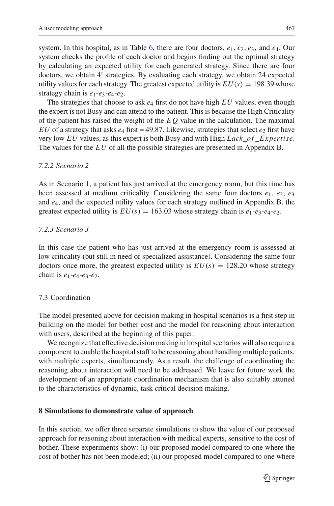system. In this hospital, as in Table [6,](#page-25-2) there are four doctors, *e*1, *e*2, *e*3, and *e*4. Our system checks the profile of each doctor and begins finding out the optimal strategy by calculating an expected utility for each generated strategy. Since there are four doctors, we obtain 4! strategies. By evaluating each strategy, we obtain 24 expected utility values for each strategy. The greatest expected utility is  $EU(s) = 198.39$  whose strategy chain is *e*1-*e*3-*e*4-*e*2.

The strategies that choose to ask *e*<sup>4</sup> first do not have high *EU* values, even though the expert is not Busy and can attend to the patient. This is because the High Criticality of the patient has raised the weight of the *E Q* value in the calculation. The maximal *EU* of a strategy that asks  $e_4$  first = 49.87. Likewise, strategies that select  $e_2$  first have very low *EU* values, as this expert is both Busy and with High *Lack*\_*of* \_*Expertise*. The values for the *EU* of all the possible strategies are presented in Appendix B.

# *7.2.2 Scenario 2*

As in Scenario 1, a patient has just arrived at the emergency room, but this time has been assessed at medium criticality. Considering the same four doctors  $e_1, e_2, e_3$ and *e*4, and the expected utility values for each strategy outlined in Appendix B, the greatest expected utility is  $EU(s) = 163.03$  whose strategy chain is  $e_1-e_3-e_4-e_2$ .

# *7.2.3 Scenario 3*

In this case the patient who has just arrived at the emergency room is assessed at low criticality (but still in need of specialized assistance). Considering the same four doctors once more, the greatest expected utility is  $EU(s) = 128.20$  whose strategy chain is *e*1-*e*4-*e*3-*e*2.

# 7.3 Coordination

The model presented above for decision making in hospital scenarios is a first step in building on the model for bother cost and the model for reasoning about interaction with users, described at the beginning of this paper.

We recognize that effective decision making in hospital scenarios will also require a component to enable the hospital staff to be reasoning about handling multiple patients, with multiple experts, simultaneously. As a result, the challenge of coordinating the reasoning about interaction will need to be addressed. We leave for future work the development of an appropriate coordination mechanism that is also suitably attuned to the characteristics of dynamic, task critical decision making.

# **8 Simulations to demonstrate value of approach**

In this section, we offer three separate simulations to show the value of our proposed approach for reasoning about interaction with medical experts, sensitive to the cost of bother. These experiments show: (i) our proposed model compared to one where the cost of bother has not been modeled; (ii) our proposed model compared to one where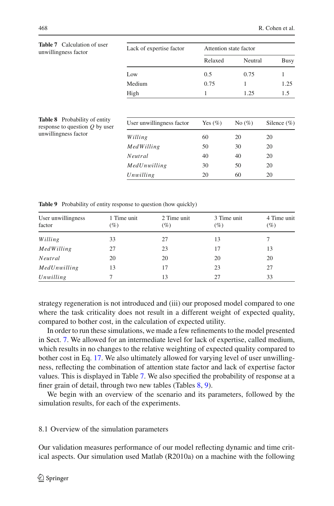<span id="page-27-0"></span>

| <b>Table 7</b> Calculation of user<br>unwillingness factor | Lack of expertise factor  |             | Attention state factor |                 |  |  |
|------------------------------------------------------------|---------------------------|-------------|------------------------|-----------------|--|--|
|                                                            |                           | Relaxed     | Neutral                | Busy            |  |  |
|                                                            | Low                       | 0.5         | 0.75                   | 1               |  |  |
|                                                            | Medium                    | 0.75        | 1                      | 1.25            |  |  |
|                                                            | High                      | 1           | 1.25                   | 1.5             |  |  |
| <b>Table 8</b> Probability of entity                       | User unwillingness factor | Yes $(\% )$ | No $(\%)$              | Silence $(\% )$ |  |  |
| response to question $Q$ by user                           |                           |             |                        |                 |  |  |
| unwillingness factor                                       | Willing                   | 60          | 20                     | 20              |  |  |
|                                                            | MedWilling                | 50          | 30                     | 20              |  |  |
|                                                            | Neutral<br>40<br>40       |             |                        | 20              |  |  |
|                                                            | MedUnwilling              | 30          | 50                     | 20              |  |  |
|                                                            | Unwilling                 | 20          | 60                     | 20              |  |  |

<span id="page-27-1"></span>**Table 9** Probability of entity response to question (how quickly)

<span id="page-27-2"></span>

| User unwillingness<br>factor | 1 Time unit<br>$(\%)$ | 2 Time unit<br>$(\%)$ | 3 Time unit<br>(%) | 4 Time unit<br>(%) |
|------------------------------|-----------------------|-----------------------|--------------------|--------------------|
| Willing                      | 33                    | 27                    | 13                 |                    |
| MedWilling                   | 27                    | 23                    | 17                 | 13                 |
| Neutral                      | 20                    | 20                    | 20                 | 20                 |
| MedUnwilling                 | 13                    | 17                    | 23                 | 27                 |
| Unwilling                    |                       | 13                    | 27                 | 33                 |

strategy regeneration is not introduced and (iii) our proposed model compared to one where the task criticality does not result in a different weight of expected quality, compared to bother cost, in the calculation of expected utility.

In order to run these simulations, we made a few refinements to the model presented in Sect. [7.](#page-21-0) We allowed for an intermediate level for lack of expertise, called medium, which results in no changes to the relative weighting of expected quality compared to bother cost in Eq. [17.](#page-23-0) We also ultimately allowed for varying level of user unwillingness, reflecting the combination of attention state factor and lack of expertise factor values. This is displayed in Table [7.](#page-27-0) We also specified the probability of response at a finer grain of detail, through two new tables (Tables  $8, 9$  $8, 9$ ).

We begin with an overview of the scenario and its parameters, followed by the simulation results, for each of the experiments.

# 8.1 Overview of the simulation parameters

Our validation measures performance of our model reflecting dynamic and time critical aspects. Our simulation used Matlab (R2010a) on a machine with the following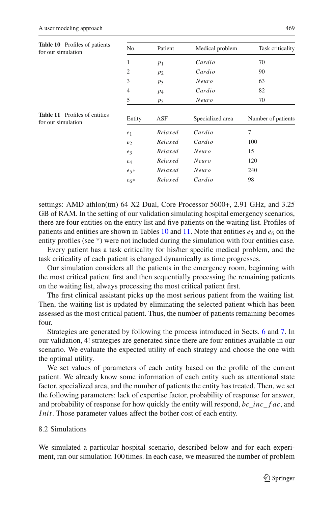<span id="page-28-1"></span><span id="page-28-0"></span>

| <b>Table 10</b> Profiles of patients<br>for our simulation | No.            | Patient | Medical problem  | Task criticality   |
|------------------------------------------------------------|----------------|---------|------------------|--------------------|
|                                                            |                | $p_1$   | Cardio           | 70                 |
|                                                            | $\overline{2}$ | $p_2$   | Cardio           | 90                 |
|                                                            | 3              | $p_3$   | Neuro            | 63                 |
|                                                            | 4              | $p_4$   | Cardio           | 82                 |
|                                                            | 5              | р5      | Neuro            | 70                 |
| <b>Table 11</b> Profiles of entities<br>for our simulation | Entity         | ASF     | Specialized area | Number of patients |
|                                                            | e <sub>1</sub> | Relaxed | Cardio           | 7                  |
|                                                            | e <sub>2</sub> | Relaxed | Cardio           | 100                |
|                                                            | $e_3$          | Relaxed | Neuro            | 15                 |
|                                                            | $e_4$          | Relaxed | Neuro            | 120                |
|                                                            | $e_5*$         | Relaxed | Neuro            | 240                |
|                                                            | $e_6*$         | Relaxed | Cardio           | 98                 |

settings: AMD athlon(tm) 64 X2 Dual, Core Processor 5600+, 2.91 GHz, and 3.25 GB of RAM. In the setting of our validation simulating hospital emergency scenarios, there are four entities on the entity list and five patients on the waiting list. Profiles of patients and entities are shown in Tables [10](#page-28-0) and [11.](#page-28-1) Note that entities  $e_5$  and  $e_6$  on the entity profiles (see \*) were not included during the simulation with four entities case.

Every patient has a task criticality for his/her specific medical problem, and the task criticality of each patient is changed dynamically as time progresses.

Our simulation considers all the patients in the emergency room, beginning with the most critical patient first and then sequentially processing the remaining patients on the waiting list, always processing the most critical patient first.

The first clinical assistant picks up the most serious patient from the waiting list. Then, the waiting list is updated by eliminating the selected patient which has been assessed as the most critical patient. Thus, the number of patients remaining becomes four.

Strategies are generated by following the process introduced in Sects. [6](#page-18-3) and [7.](#page-21-0) In our validation, 4! strategies are generated since there are four entities available in our scenario. We evaluate the expected utility of each strategy and choose the one with the optimal utility.

We set values of parameters of each entity based on the profile of the current patient. We already know some information of each entity such as attentional state factor, specialized area, and the number of patients the entity has treated. Then, we set the following parameters: lack of expertise factor, probability of response for answer, and probability of response for how quickly the entity will respond, *bc*\_*inc*\_ *f ac*, and *Init*. Those parameter values affect the bother cost of each entity.

# 8.2 Simulations

We simulated a particular hospital scenario, described below and for each experiment, ran our simulation 100 times. In each case, we measured the number of problem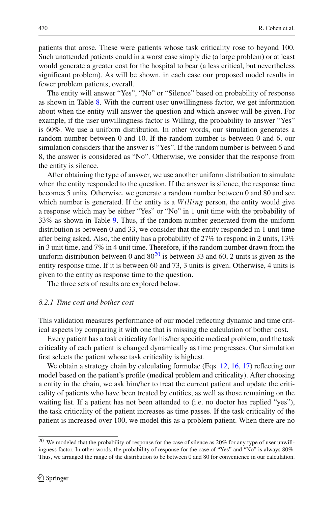patients that arose. These were patients whose task criticality rose to beyond 100. Such unattended patients could in a worst case simply die (a large problem) or at least would generate a greater cost for the hospital to bear (a less critical, but nevertheless significant problem). As will be shown, in each case our proposed model results in fewer problem patients, overall.

The entity will answer "Yes", "No" or "Silence" based on probability of response as shown in Table [8.](#page-27-1) With the current user unwillingness factor, we get information about when the entity will answer the question and which answer will be given. For example, if the user unwillingness factor is Willing, the probability to answer "Yes" is 60%. We use a uniform distribution. In other words, our simulation generates a random number between 0 and 10. If the random number is between 0 and 6, our simulation considers that the answer is "Yes". If the random number is between 6 and 8, the answer is considered as "No". Otherwise, we consider that the response from the entity is silence.

After obtaining the type of answer, we use another uniform distribution to simulate when the entity responded to the question. If the answer is silence, the response time becomes 5 units. Otherwise, we generate a random number between 0 and 80 and see which number is generated. If the entity is a *Willing* person, the entity would give a response which may be either "Yes" or "No" in 1 unit time with the probability of 33% as shown in Table [9.](#page-27-2) Thus, if the random number generated from the uniform distribution is between 0 and 33, we consider that the entity responded in 1 unit time after being asked. Also, the entity has a probability of  $27\%$  to respond in 2 units,  $13\%$ in 3 unit time, and 7% in 4 unit time. Therefore, if the random number drawn from the uniform distribution between 0 and  $80^{20}$  is between 33 and 60, 2 units is given as the entity response time. If it is between 60 and 73, 3 units is given. Otherwise, 4 units is given to the entity as response time to the question.

The three sets of results are explored below.

# *8.2.1 Time cost and bother cost*

This validation measures performance of our model reflecting dynamic and time critical aspects by comparing it with one that is missing the calculation of bother cost.

Every patient has a task criticality for his/her specific medical problem, and the task criticality of each patient is changed dynamically as time progresses. Our simulation first selects the patient whose task criticality is highest.

We obtain a strategy chain by calculating formulae (Eqs. [12,](#page-21-2) [16,](#page-22-0) [17\)](#page-23-0) reflecting our model based on the patient's profile (medical problem and criticality). After choosing a entity in the chain, we ask him/her to treat the current patient and update the criticality of patients who have been treated by entities, as well as those remaining on the waiting list. If a patient has not been attended to (i.e. no doctor has replied "yes"), the task criticality of the patient increases as time passes. If the task criticality of the patient is increased over 100, we model this as a problem patient. When there are no

<span id="page-29-0"></span><sup>20</sup> We modeled that the probability of response for the case of silence as 20% for any type of user unwillingness factor. In other words, the probability of response for the case of "Yes" and "No" is always 80%. Thus, we arranged the range of the distribution to be between 0 and 80 for convenience in our calculation.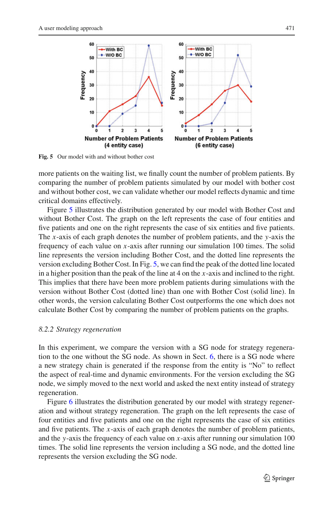

<span id="page-30-0"></span>**Fig. 5** Our model with and without bother cost

more patients on the waiting list, we finally count the number of problem patients. By comparing the number of problem patients simulated by our model with bother cost and without bother cost, we can validate whether our model reflects dynamic and time critical domains effectively.

Figure [5](#page-30-0) illustrates the distribution generated by our model with Bother Cost and without Bother Cost. The graph on the left represents the case of four entities and five patients and one on the right represents the case of six entities and five patients. The *x*-axis of each graph denotes the number of problem patients, and the *y*-axis the frequency of each value on *x*-axis after running our simulation 100 times. The solid line represents the version including Bother Cost, and the dotted line represents the version excluding Bother Cost. In Fig. [5,](#page-30-0) we can find the peak of the dotted line located in a higher position than the peak of the line at 4 on the *x*-axis and inclined to the right. This implies that there have been more problem patients during simulations with the version without Bother Cost (dotted line) than one with Bother Cost (solid line). In other words, the version calculating Bother Cost outperforms the one which does not calculate Bother Cost by comparing the number of problem patients on the graphs.

# *8.2.2 Strategy regeneration*

In this experiment, we compare the version with a SG node for strategy regeneration to the one without the SG node. As shown in Sect. [6,](#page-18-3) there is a SG node where a new strategy chain is generated if the response from the entity is "No" to reflect the aspect of real-time and dynamic environments. For the version excluding the SG node, we simply moved to the next world and asked the next entity instead of strategy regeneration.

Figure [6](#page-31-0) illustrates the distribution generated by our model with strategy regeneration and without strategy regeneration. The graph on the left represents the case of four entities and five patients and one on the right represents the case of six entities and five patients. The *x*-axis of each graph denotes the number of problem patients, and the *y*-axis the frequency of each value on *x*-axis after running our simulation 100 times. The solid line represents the version including a SG node, and the dotted line represents the version excluding the SG node.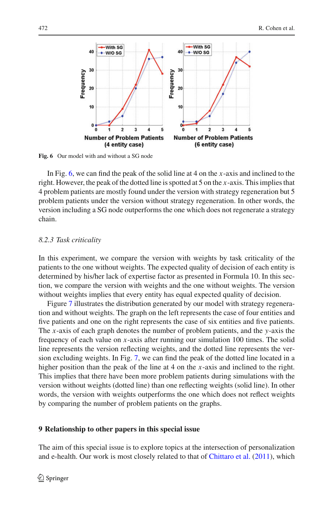

<span id="page-31-0"></span>**Fig. 6** Our model with and without a SG node

In Fig. [6,](#page-31-0) we can find the peak of the solid line at 4 on the *x*-axis and inclined to the right. However, the peak of the dotted line is spotted at 5 on the *x*-axis. This implies that 4 problem patients are mostly found under the version with strategy regeneration but 5 problem patients under the version without strategy regeneration. In other words, the version including a SG node outperforms the one which does not regenerate a strategy chain.

### *8.2.3 Task criticality*

In this experiment, we compare the version with weights by task criticality of the patients to the one without weights. The expected quality of decision of each entity is determined by his/her lack of expertise factor as presented in Formula 10. In this section, we compare the version with weights and the one without weights. The version without weights implies that every entity has equal expected quality of decision.

Figure [7](#page-32-1) illustrates the distribution generated by our model with strategy regeneration and without weights. The graph on the left represents the case of four entities and five patients and one on the right represents the case of six entities and five patients. The *x*-axis of each graph denotes the number of problem patients, and the *y*-axis the frequency of each value on *x*-axis after running our simulation 100 times. The solid line represents the version reflecting weights, and the dotted line represents the version excluding weights. In Fig. [7,](#page-32-1) we can find the peak of the dotted line located in a higher position than the peak of the line at 4 on the *x*-axis and inclined to the right. This implies that there have been more problem patients during simulations with the version without weights (dotted line) than one reflecting weights (solid line). In other words, the version with weights outperforms the one which does not reflect weights by comparing the number of problem patients on the graphs.

# **9 Relationship to other papers in this special issue**

The aim of this special issue is to explore topics at the intersection of personalization and e-health. Our work is most closely related to that of [Chittaro et al.](#page-42-13) [\(2011](#page-42-13)), which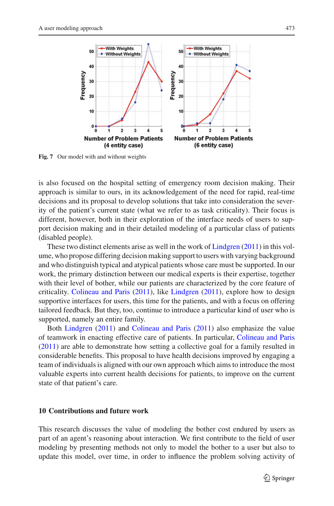

<span id="page-32-1"></span>**Fig. 7** Our model with and without weights

is also focused on the hospital setting of emergency room decision making. Their approach is similar to ours, in its acknowledgement of the need for rapid, real-time decisions and its proposal to develop solutions that take into consideration the severity of the patient's current state (what we refer to as task criticality). Their focus is different, however, both in their exploration of the interface needs of users to support decision making and in their detailed modeling of a particular class of patients (disabled people).

These two distinct elements arise as well in the work of [Lindgren](#page-42-14) [\(2011](#page-42-14)) in this volume, who propose differing decision making support to users with varying background and who distinguish typical and atypical patients whose care must be supported. In our work, the primary distinction between our medical experts is their expertise, together with their level of bother, while our patients are characterized by the core feature of criticality. [Colineau and Paris](#page-42-15) [\(2011\)](#page-42-15), like [Lindgren](#page-42-14) [\(2011](#page-42-14)), explore how to design supportive interfaces for users, this time for the patients, and with a focus on offering tailored feedback. But they, too, continue to introduce a particular kind of user who is supported, namely an entire family.

Both [Lindgren](#page-42-14) [\(2011\)](#page-42-14) and [Colineau and Paris](#page-42-15) [\(2011](#page-42-15)) also emphasize the value of teamwork in enacting effective care of patients. In particular, [Colineau and Paris](#page-42-15) [\(2011\)](#page-42-15) are able to demonstrate how setting a collective goal for a family resulted in considerable benefits. This proposal to have health decisions improved by engaging a team of individuals is aligned with our own approach which aims to introduce the most valuable experts into current health decisions for patients, to improve on the current state of that patient's care.

# <span id="page-32-0"></span>**10 Contributions and future work**

This research discusses the value of modeling the bother cost endured by users as part of an agent's reasoning about interaction. We first contribute to the field of user modeling by presenting methods not only to model the bother to a user but also to update this model, over time, in order to influence the problem solving activity of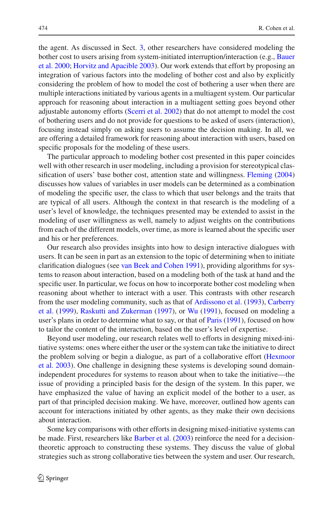the agent. As discussed in Sect. [3,](#page-7-2) other researchers have considered modeling the both[er](#page-41-2) [cost](#page-41-2) [to](#page-41-2) [users](#page-41-2) [arising](#page-41-2) [from](#page-41-2) [system-initiated](#page-41-2) [interruption/interaction](#page-41-2) [\(e.g.,](#page-41-2) Bauer et al. [2000;](#page-41-2) [Horvitz and Apacible 2003](#page-42-9)). Our work extends that effort by proposing an integration of various factors into the modeling of bother cost and also by explicitly considering the problem of how to model the cost of bothering a user when there are multiple interactions initiated by various agents in a multiagent system. Our particular approach for reasoning about interaction in a multiagent setting goes beyond other adjustable autonomy efforts [\(Scerri et al. 2002\)](#page-42-4) that do not attempt to model the cost of bothering users and do not provide for questions to be asked of users (interaction), focusing instead simply on asking users to assume the decision making. In all, we are offering a detailed framework for reasoning about interaction with users, based on specific proposals for the modeling of these users.

The particular approach to modeling bother cost presented in this paper coincides well with other research in user modeling, including a provision for stereotypical classification of users' base bother cost, attention state and willingness. [Fleming](#page-42-16) [\(2004\)](#page-42-16) discusses how values of variables in user models can be determined as a combination of modeling the specific user, the class to which that user belongs and the traits that are typical of all users. Although the context in that research is the modeling of a user's level of knowledge, the techniques presented may be extended to assist in the modeling of user willingness as well, namely to adjust weights on the contributions from each of the different models, over time, as more is learned about the specific user and his or her preferences.

Our research also provides insights into how to design interactive dialogues with users. It can be seen in part as an extension to the topic of determining when to initiate clarification dialogues (see [van Beek and Cohen 1991\)](#page-43-2), providing algorithms for systems to reason about interaction, based on a modeling both of the task at hand and the specific user. In particular, we focus on how to incorporate bother cost modeling when reasoning about whether to interact with a user. This contrasts with other research from [the](#page-41-6) [user](#page-41-6) [modeling](#page-41-6) [community,](#page-41-6) [such](#page-41-6) [as](#page-41-6) [that](#page-41-6) [of](#page-41-6) [Ardissono et al.](#page-41-5) [\(1993](#page-41-5)), Carberry et al. [\(1999\)](#page-41-6), [Raskutti and Zukerman](#page-42-7) [\(1997\)](#page-42-7), or [Wu](#page-43-3) [\(1991](#page-43-3)), focused on modeling a user's plans in order to determine what to say, or that of [Paris](#page-42-17) [\(1991\)](#page-42-17), focused on how to tailor the content of the interaction, based on the user's level of expertise.

Beyond user modeling, our research relates well to efforts in designing mixed-initiative systems: ones where either the user or the system can take the initiative to direct the [problem](#page-42-10) [solving](#page-42-10) [or](#page-42-10) [begin](#page-42-10) [a](#page-42-10) [dialogue,](#page-42-10) [as](#page-42-10) [part](#page-42-10) [of](#page-42-10) [a](#page-42-10) [collaborative](#page-42-10) [effort](#page-42-10) [\(](#page-42-10)Hexmoor et al. [2003](#page-42-10)). One challenge in designing these systems is developing sound domainindependent procedures for systems to reason about when to take the initiative—the issue of providing a principled basis for the design of the system. In this paper, we have emphasized the value of having an explicit model of the bother to a user, as part of that principled decision making. We have, moreover, outlined how agents can account for interactions initiated by other agents, as they make their own decisions about interaction.

Some key comparisons with other efforts in designing mixed-initiative systems can be made. First, researchers like [Barber et al.](#page-41-7) [\(2003\)](#page-41-7) reinforce the need for a decisiontheoretic approach to constructing these systems. They discuss the value of global strategies such as strong collaborative ties between the system and user. Our research,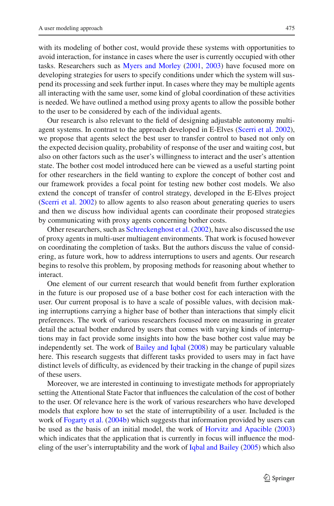with its modeling of bother cost, would provide these systems with opportunities to avoid interaction, for instance in cases where the user is currently occupied with other tasks. Researchers such as [Myers and Morley](#page-42-18) [\(2001,](#page-42-18) [2003\)](#page-42-19) have focused more on developing strategies for users to specify conditions under which the system will suspend its processing and seek further input. In cases where they may be multiple agents all interacting with the same user, some kind of global coordination of these activities is needed. We have outlined a method using proxy agents to allow the possible bother to the user to be considered by each of the individual agents.

Our research is also relevant to the field of designing adjustable autonomy multiagent systems. In contrast to the approach developed in E-Elves [\(Scerri et al. 2002](#page-42-4)), we propose that agents select the best user to transfer control to based not only on the expected decision quality, probability of response of the user and waiting cost, but also on other factors such as the user's willingness to interact and the user's attention state. The bother cost model introduced here can be viewed as a useful starting point for other researchers in the field wanting to explore the concept of bother cost and our framework provides a focal point for testing new bother cost models. We also extend the concept of transfer of control strategy, developed in the E-Elves project [\(Scerri et al. 2002](#page-42-4)) to allow agents to also reason about generating queries to users and then we discuss how individual agents can coordinate their proposed strategies by communicating with proxy agents concerning bother costs.

Other researchers, such as [Schreckenghost et al.](#page-43-4) [\(2002\)](#page-43-4), have also discussed the use of proxy agents in multi-user multiagent environments. That work is focused however on coordinating the completion of tasks. But the authors discuss the value of considering, as future work, how to address interruptions to users and agents. Our research begins to resolve this problem, by proposing methods for reasoning about whether to interact.

One element of our current research that would benefit from further exploration in the future is our proposed use of a base bother cost for each interaction with the user. Our current proposal is to have a scale of possible values, with decision making interruptions carrying a higher base of bother than interactions that simply elicit preferences. The work of various researchers focused more on measuring in greater detail the actual bother endured by users that comes with varying kinds of interruptions may in fact provide some insights into how the base bother cost value may be independently set. The work of [Bailey and Iqbal](#page-41-8) [\(2008\)](#page-41-8) may be particulary valuable here. This research suggests that different tasks provided to users may in fact have distinct levels of difficulty, as evidenced by their tracking in the change of pupil sizes of these users.

Moreover, we are interested in continuing to investigate methods for appropriately setting the Attentional State Factor that influences the calculation of the cost of bother to the user. Of relevance here is the work of various researchers who have developed models that explore how to set the state of interruptibility of a user. Included is the work of [Fogarty et al.](#page-42-20) [\(2004b\)](#page-42-20) which suggests that information provided by users can be used as the basis of an initial model, the work of [Horvitz and Apacible](#page-42-9) [\(2003\)](#page-42-9) which indicates that the application that is currently in focus will influence the modeling of the user's interruptability and the work of [Iqbal and Bailey](#page-42-21) [\(2005\)](#page-42-21) which also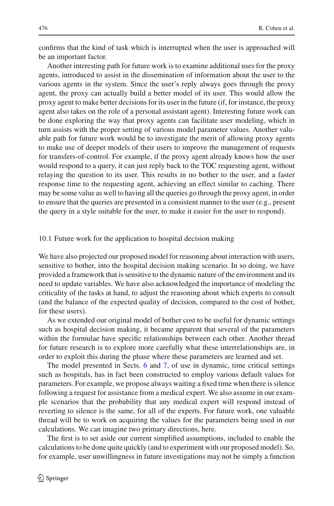confirms that the kind of task which is interrupted when the user is approached will be an important factor.

Another interesting path for future work is to examine additional uses for the proxy agents, introduced to assist in the dissemination of information about the user to the various agents in the system. Since the user's reply always goes through the proxy agent, the proxy can actually build a better model of its user. This would allow the proxy agent to make better decisions for its user in the future (if, for instance, the proxy agent also takes on the role of a personal assistant agent). Interesting future work can be done exploring the way that proxy agents can facilitate user modeling, which in turn assists with the proper setting of various model parameter values. Another valuable path for future work would be to investigate the merit of allowing proxy agents to make use of deeper models of their users to improve the management of requests for transfers-of-control. For example, if the proxy agent already knows how the user would respond to a query, it can just reply back to the TOC requesting agent, without relaying the question to its user. This results in no bother to the user, and a faster response time to the requesting agent, achieving an effect similar to caching. There may be some value as well to having all the queries go through the proxy agent, in order to ensure that the queries are presented in a consistent manner to the user (e.g., present the query in a style suitable for the user, to make it easier for the user to respond).

### <span id="page-35-0"></span>10.1 Future work for the application to hospital decision making

We have also projected our proposed model for reasoning about interaction with users, sensitive to bother, into the hospital decision making scenario. In so doing, we have provided a framework that is sensitive to the dynamic nature of the environment and its need to update variables. We have also acknowledged the importance of modeling the criticality of the tasks at hand, to adjust the reasoning about which experts to consult (and the balance of the expected quality of decision, compared to the cost of bother, for these users).

As we extended our original model of bother cost to be useful for dynamic settings such as hospital decision making, it became apparent that several of the parameters within the formulae have specific relationships between each other. Another thread for future research is to explore more carefully what these interrelationships are, in order to exploit this during the phase where these parameters are learned and set.

The model presented in Sects. [6](#page-18-3) and [7,](#page-21-0) of use in dynamic, time critical settings such as hospitals, has in fact been constructed to employ various default values for parameters. For example, we propose always waiting a fixed time when there is silence following a request for assistance from a medical expert. We also assume in our example scenarios that the probability that any medical expert will respond instead of reverting to silence is the same, for all of the experts. For future work, one valuable thread will be to work on acquiring the values for the parameters being used in our calculations. We can imagine two primary directions, here.

The first is to set aside our current simplified assumptions, included to enable the calculations to be done quite quickly (and to experiment with our proposed model). So, for example, user unwillingness in future investigations may not be simply a function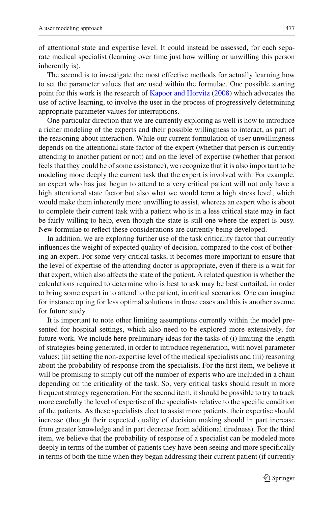of attentional state and expertise level. It could instead be assessed, for each separate medical specialist (learning over time just how willing or unwilling this person inherently is).

The second is to investigate the most effective methods for actually learning how to set the parameter values that are used within the formulae. One possible starting point for this work is the research of [Kapoor and Horvitz](#page-42-22) [\(2008\)](#page-42-22) which advocates the use of active learning, to involve the user in the process of progressively determining appropriate parameter values for interruptions.

One particular direction that we are currently exploring as well is how to introduce a richer modeling of the experts and their possible willingness to interact, as part of the reasoning about interaction. While our current formulation of user unwillingness depends on the attentional state factor of the expert (whether that person is currently attending to another patient or not) and on the level of expertise (whether that person feels that they could be of some assistance), we recognize that it is also important to be modeling more deeply the current task that the expert is involved with. For example, an expert who has just begun to attend to a very critical patient will not only have a high attentional state factor but also what we would term a high stress level, which would make them inherently more unwilling to assist, whereas an expert who is about to complete their current task with a patient who is in a less critical state may in fact be fairly willing to help, even though the state is still one where the expert is busy. New formulae to reflect these considerations are currently being developed.

In addition, we are exploring further use of the task criticality factor that currently influences the weight of expected quality of decision, compared to the cost of bothering an expert. For some very critical tasks, it becomes more important to ensure that the level of expertise of the attending doctor is appropriate, even if there is a wait for that expert, which also affects the state of the patient. A related question is whether the calculations required to determine who is best to ask may be best curtailed, in order to bring some expert in to attend to the patient, in critical scenarios. One can imagine for instance opting for less optimal solutions in those cases and this is another avenue for future study.

It is important to note other limiting assumptions currently within the model presented for hospital settings, which also need to be explored more extensively, for future work. We include here preliminary ideas for the tasks of (i) limiting the length of strategies being generated, in order to introduce regeneration, with novel parameter values; (ii) setting the non-expertise level of the medical specialists and (iii) reasoning about the probability of response from the specialists. For the first item, we believe it will be promising to simply cut off the number of experts who are included in a chain depending on the criticality of the task. So, very critical tasks should result in more frequent strategy regeneration. For the second item, it should be possible to try to track more carefully the level of expertise of the specialists relative to the specific condition of the patients. As these specialists elect to assist more patients, their expertise should increase (though their expected quality of decision making should in part increase from greater knowledge and in part decrease from additional tiredness). For the third item, we believe that the probability of response of a specialist can be modeled more deeply in terms of the number of patients they have been seeing and more specifically in terms of both the time when they began addressing their current patient (if currently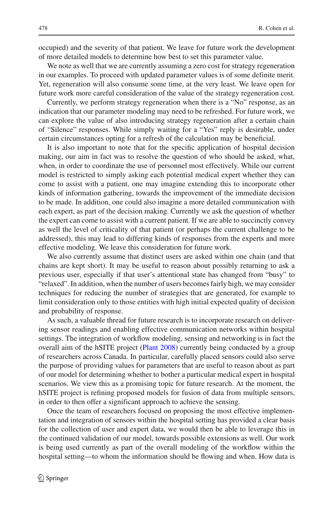occupied) and the severity of that patient. We leave for future work the development of more detailed models to determine how best to set this parameter value.

We note as well that we are currently assuming a zero cost for strategy regeneration in our examples. To proceed with updated parameter values is of some definite merit. Yet, regeneration will also consume some time, at the very least. We leave open for future work more careful consideration of the value of the strategy regeneration cost.

Currently, we perform strategy regeneration when there is a "No" response, as an indication that our parameter modeling may need to be refreshed. For future work, we can explore the value of also introducing strategy regeneration after a certain chain of "Silence" responses. While simply waiting for a "Yes" reply is desirable, under certain circumstances opting for a refresh of the calculation may be beneficial.

It is also important to note that for the specific application of hospital decision making, our aim in fact was to resolve the question of who should be asked, what, when, in order to coordinate the use of personnel most effectively. While our current model is restricted to simply asking each potential medical expert whether they can come to assist with a patient, one may imagine extending this to incorporate other kinds of information gathering, towards the improvement of the immediate decision to be made. In addition, one could also imagine a more detailed communication with each expert, as part of the decision making. Currently we ask the question of whether the expert can come to assist with a current patient. If we are able to succinctly convey as well the level of criticality of that patient (or perhaps the current challenge to be addressed), this may lead to differing kinds of responses from the experts and more effective modeling. We leave this consideration for future work.

We also currently assume that distinct users are asked within one chain (and that chains are kept short). It may be useful to reason about possibly returning to ask a previous user, especially if that user's attentional state has changed from "busy" to "relaxed". In addition, when the number of users becomes fairly high, we may consider techniques for reducing the number of strategies that are generated, for example to limit consideration only to those entities with high initial expected quality of decision and probability of response.

As such, a valuable thread for future research is to incorporate research on delivering sensor readings and enabling effective communication networks within hospital settings. The integration of workflow modeling, sensing and networking is in fact the overall aim of the hSITE project [\(Plant 2008\)](#page-42-0) currently being conducted by a group of researchers across Canada. In particular, carefully placed sensors could also serve the purpose of providing values for parameters that are useful to reason about as part of our model for determining whether to bother a particular medical expert in hospital scenarios. We view this as a promising topic for future research. At the moment, the hSITE project is refining proposed models for fusion of data from multiple sensors, in order to then offer a significant approach to achieve the sensing.

Once the team of researchers focused on proposing the most effective implementation and integration of sensors within the hospital setting has provided a clear basis for the collection of user and expert data, we would then be able to leverage this in the continued validation of our model, towards possible extensions as well. Our work is being used currently as part of the overall modeling of the workflow within the hospital setting—to whom the information should be flowing and when. How data is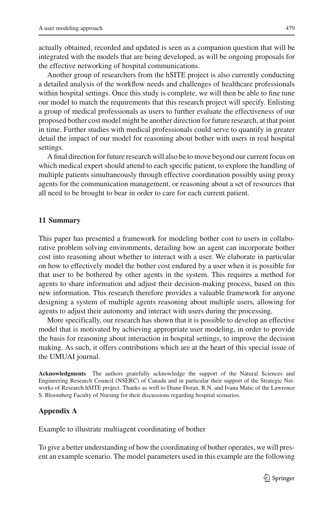actually obtained, recorded and updated is seen as a companion question that will be integrated with the models that are being developed, as will be ongoing proposals for the effective networking of hospital communications.

Another group of researchers from the hSITE project is also currently conducting a detailed analysis of the workflow needs and challenges of healthcare professionals within hospital settings. Once this study is complete, we will then be able to fine tune our model to match the requirements that this research project will specify. Enlisting a group of medical professionals as users to further evaluate the effectiveness of our proposed bother cost model might be another direction for future research, at that point in time. Further studies with medical professionals could serve to quantify in greater detail the impact of our model for reasoning about bother with users in real hospital settings.

A final direction for future research will also be to move beyond our current focus on which medical expert should attend to each specific patient, to explore the handling of multiple patients simultaneously through effective coordination possibly using proxy agents for the communication management, or reasoning about a set of resources that all need to be brought to bear in order to care for each current patient.

### **11 Summary**

This paper has presented a framework for modeling bother cost to users in collaborative problem solving environments, detailing how an agent can incorporate bother cost into reasoning about whether to interact with a user. We elaborate in particular on how to effectively model the bother cost endured by a user when it is possible for that user to be bothered by other agents in the system. This requires a method for agents to share information and adjust their decision-making process, based on this new information. This research therefore provides a valuable framework for anyone designing a system of multiple agents reasoning about multiple users, allowing for agents to adjust their autonomy and interact with users during the processing.

More specifically, our research has shown that it is possible to develop an effective model that is motivated by achieving appropriate user modeling, in order to provide the basis for reasoning about interaction in hospital settings, to improve the decision making. As such, it offers contributions which are at the heart of this special issue of the UMUAI journal.

**Acknowledgments** The authors gratefully acknowledge the support of the Natural Sciences and Engineering Research Council (NSERC) of Canada and in particular their support of the Strategic Networks of Research hSITE project. Thanks as well to Diane Doran, R.N. and Ivana Matic of the Lawrence S. Bloomberg Faculty of Nursing for their discussions regarding hospital scenarios.

# **Appendix A**

Example to illustrate multiagent coordinating of bother

To give a better understanding of how the coordinating of bother operates, we will present an example scenario. The model parameters used in this example are the following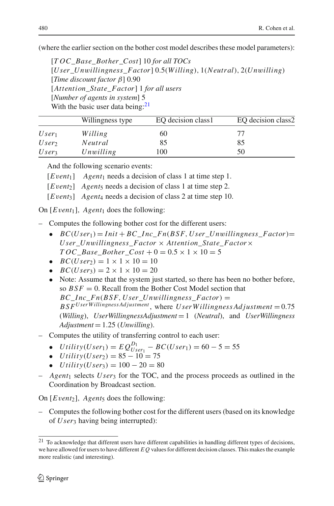(where the earlier section on the bother cost model describes these model parameters):

[*T OC*\_*Base*\_*Bother*\_*Cost*] 10 *for all TOCs* [*User*\_*Un*w*illingness*\_*Factor*] 0.5(*Willing*), 1(*Neutral*), 2(*Un*w*illing*) [*Time discount factor* β] 0.90 [*Attention*\_*State*\_*Factor*] 1 *for all users* [*Number of agents in system*] 5 With the basic user data being: $21$ 

|          | Willingness type | EO decision class1 | EQ decision class2 |
|----------|------------------|--------------------|--------------------|
| $User_1$ | Willing          | 60                 | 77                 |
| $User_2$ | <i>Neutral</i>   | 85                 | 85                 |
| $User_3$ | Unwilling        | 100                | 50                 |

And the following scenario events:

[*E*v*ent*1] *Agent*<sup>1</sup> needs a decision of class 1 at time step 1.

[*Event*<sub>2</sub>] *Agent*<sub>5</sub> needs a decision of class 1 at time step 2.

[*E*v*ent*3] *Agent*<sup>4</sup> needs a decision of class 2 at time step 10.

On  $[Event_1]$ , *Agent*<sub>1</sub> does the following:

- Computes the following bother cost for the different users:
	- $BC(User_1) = Init + BC\_Inc\_Fn(BSF, User\_Unwillingness\_Factor) =$ *User*\_*Un*w*illingness*\_*Factor* × *Attention*\_*State*\_*Factor*× *TOC* Base Bother  $Cost + 0 = 0.5 \times 1 \times 10 = 5$
	- $BC(User_2) = 1 \times 1 \times 10 = 10$
	- $BC(User_3) = 2 \times 1 \times 10 = 20$
	- Note: Assume that the system just started, so there has been no bother before, so  $BSF = 0$ . Recall from the Bother Cost Model section that *BC*\_*Inc*\_*Fn*(*BSF*, *User*\_*Un*w*illingness*\_*Factor*) =  $BSF^{Use }$  Willingness Adjustment<sub>,</sub> where *User Willingness Adjustment* = 0.75 (*Willing*), *UserWillingnessAdjustment* = 1 (*Neutral*), and *UserWillingness Adjustment* = 1.25 (*Unwilling*).
- Computes the utility of transferring control to each user:
	- *Utility*(*User*<sub>1</sub>) =  $EQ_{User_1}^{D_1}$   $BC(User_1) = 60 5 = 55$
	- *Utility*(*User*<sub>2</sub>) =  $85 10 = 75$
	- $\bullet$  *Utility*(*User*<sub>3</sub>) = 100 20 = 80
- *Agent*<sup>1</sup> selects *User*<sup>3</sup> for the TOC, and the process proceeds as outlined in the Coordination by Broadcast section.

On [*E*v*ent*2], *Agent*<sup>5</sup> does the following:

– Computes the following bother cost for the different users (based on its knowledge of *User*<sup>3</sup> having being interrupted):

<span id="page-39-0"></span><sup>21</sup> To acknowledge that different users have different capabilities in handling different types of decisions, we have allowed for users to have different *E Q* values for different decision classes. This makes the example more realistic (and interesting).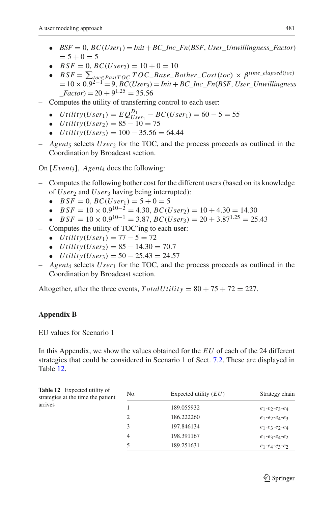- $BSF = 0$ ,  $BC(User_1) = Init + BC\_Inc\_Fn(BSF, User\_Unwillingness\_Factor)$  $= 5 + 0 = 5$
- $BSF = 0$ ,  $BC(User_2) = 10 + 0 = 10$
- $\bullet$  *BSF* =  $\sum_{\text{loc} \in \text{FastTOC}} TOC\_Base\_Bother\_Cost(toc) \times \beta^{time\_elapped(toc)}$ = 10 × 0.92<sup>−</sup><sup>1</sup> = 9, *BC*(*User*3) = *Init* + *BC*\_*Inc*\_*Fn*(*BSF*, *User*\_*Unwillingness*  $Factor$ ) = 20 + 9<sup>1.25</sup> = 35.56
- Computes the utility of transferring control to each user:
	- *Utility*(*User*<sub>1</sub>) =  $EQ_{User_1}^{D_1} BC(User_1) = 60 5 = 55$
	- *Utility*(*User*<sub>2</sub>) =  $85 10 = 75$
	- $\bullet$  *Utility*(*User*<sub>3</sub>) = 100 35.56 = 64.44
- *Agent*<sup>5</sup> selects *User*<sup>2</sup> for the TOC, and the process proceeds as outlined in the Coordination by Broadcast section.

On [*E*v*ent*3], *Agent*<sup>4</sup> does the following:

- Computes the following bother cost for the different users (based on its knowledge of *User*<sup>2</sup> and *User*<sup>3</sup> having being interrupted):
	- $BSF = 0$ ,  $BC(User_1) = 5 + 0 = 5$
	- $BSF = 10 \times 0.9^{10-2} = 4.30, BC(User_2) = 10 + 4.30 = 14.30$
	- $BSF = 10 \times 0.9^{10-1} = 3.87$ ,  $BC(User_3) = 20 + 3.87^{1.25} = 25.43$
- Computes the utility of TOC'ing to each user:
	- *Utility*(*User*<sub>1</sub>) =  $77 5 = 72$
	- $\bullet$  *Utility*(*User*<sub>2</sub>) = 85 14.30 = 70.7
	- *Utility*(*User*3) = 50 − 25.43 = 24.57
- *Agent*<sup>4</sup> selects *User*<sup>1</sup> for the TOC, and the process proceeds as outlined in the Coordination by Broadcast section.

Altogether, after the three events,  $TotalUtility = 80 + 75 + 72 = 227$ .

# **Appendix B**

EU values for Scenario 1

In this Appendix, we show the values obtained for the *EU* of each of the 24 different strategies that could be considered in Scenario 1 of Sect. [7.2.](#page-24-1) These are displayed in Table [12.](#page-40-0)

<span id="page-40-0"></span>

| <b>Table 12</b> Expected utility of<br>strategies at the time the patient | N <sub>o</sub> | Expected utility $(EU)$ | Strategy chain          |
|---------------------------------------------------------------------------|----------------|-------------------------|-------------------------|
| arrives                                                                   |                | 189.055932              | $e_1 - e_2 - e_3 - e_4$ |
|                                                                           | 2              | 186.222260              | $e_1 - e_2 - e_4 - e_3$ |
|                                                                           | 3              | 197.846134              | $e_1 - e_3 - e_2 - e_4$ |
|                                                                           | 4              | 198.391167              | $e_1 - e_3 - e_4 - e_2$ |
|                                                                           | 5              | 189.251631              | $e_1 - e_4 - e_3 - e_2$ |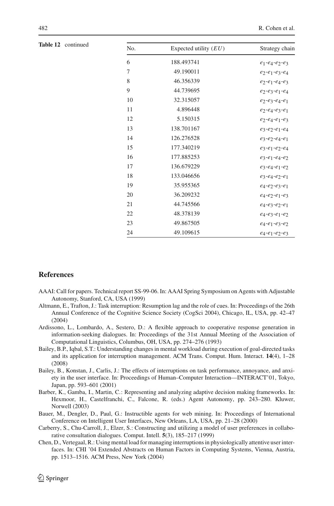| Table 12 continued | No. | Expected utility $(EU)$ | Strategy chain          |
|--------------------|-----|-------------------------|-------------------------|
|                    | 6   | 188.493741              | $e_1 - e_4 - e_2 - e_3$ |
|                    | 7   | 49.190011               | $e_2 - e_1 - e_3 - e_4$ |
|                    | 8   | 46.356339               | $e_2 - e_1 - e_4 - e_3$ |
|                    | 9   | 44.739695               | $e_2-e_3-e_1-e_4$       |
|                    | 10  | 32.315057               | $e_2-e_3-e_4-e_1$       |
|                    | 11  | 4.896448                | $e_2 - e_4 - e_3 - e_1$ |
|                    | 12  | 5.150315                | $e_2 - e_4 - e_1 - e_3$ |
|                    | 13  | 138.701167              | $e_3 - e_2 - e_1 - e_4$ |
|                    | 14  | 126.276528              | $e_3 - e_2 - e_4 - e_1$ |
|                    | 15  | 177.340219              | $e_3 - e_1 - e_2 - e_4$ |
|                    | 16  | 177.885253              | $e_3 - e_1 - e_4 - e_2$ |
|                    | 17  | 136.679229              | $e_3 - e_4 - e_1 - e_2$ |
|                    | 18  | 133.046656              | $e_3 - e_4 - e_2 - e_1$ |
|                    | 19  | 35.955365               | $e_4 - e_2 - e_3 - e_1$ |
|                    | 20  | 36.209232               | $e_4 - e_2 - e_1 - e_3$ |
|                    | 21  | 44.745566               | $e_4 - e_3 - e_2 - e_1$ |
|                    | 22  | 48.378139               | $e_4 - e_3 - e_1 - e_2$ |
|                    | 23  | 49.867505               | $e_4 - e_1 - e_3 - e_2$ |
|                    | 24  | 49.109615               | $e_4 - e_1 - e_2 - e_3$ |

| Table 12 | continued |
|----------|-----------|
|----------|-----------|

### **References**

- <span id="page-41-1"></span>AAAI: Call for papers. Technical report SS-99-06. In: AAAI Spring Symposium on Agents with Adjustable Autonomy, Stanford, CA, USA (1999)
- <span id="page-41-4"></span>Altmann, E., Trafton, J.: Task interruption: Resumption lag and the role of cues. In: Proceedings of the 26th Annual Conference of the Cognitive Science Society (CogSci 2004), Chicago, IL, USA, pp. 42–47  $(2004)$
- <span id="page-41-5"></span>Ardissono, L., Lombardo, A., Sestero, D.: A flexible approach to cooperative response generation in information-seeking dialogues. In: Proceedings of the 31st Annual Meeting of the Association of Computational Linguistics, Columbus, OH, USA, pp. 274–276 (1993)
- <span id="page-41-8"></span>Bailey, B.P., Iqbal, S.T.: Understanding changes in mental workload during execution of goal-directed tasks and its application for interruption management. ACM Trans. Comput. Hum. Interact. **14**(4), 1–28 (2008)
- <span id="page-41-0"></span>Bailey, B., Konstan, J., Carlis, J.: The effects of interruptions on task performance, annoyance, and anxiety in the user interface. In: Proceedings of Human–Computer Interaction—INTERACT'01, Tokyo, Japan, pp. 593–601 (2001)
- <span id="page-41-7"></span>Barber, K., Gamba, I., Martin, C.: Representing and analyzing adaptive decision making frameworks. In: Hexmoor, H., Castelfranchi, C., Falcone, R. (eds.) Agent Autonomy, pp. 243–280. Kluwer, Norwell (2003)
- <span id="page-41-2"></span>Bauer, M., Dengler, D., Paul, G.: Instructible agents for web mining. In: Proceedings of International Conference on Intelligent User Interfaces, New Orleans, LA, USA, pp. 21–28 (2000)
- <span id="page-41-6"></span>Carberry, S., Chu-Carroll, J., Elzer, S.: Constructing and utilizing a model of user preferences in collaborative consultation dialogues. Comput. Intell. **5**(3), 185–217 (1999)
- <span id="page-41-3"></span>Chen, D., Vertegaal, R.: Using mental load for managing interruptions in physiologically attentive user interfaces. In: CHI '04 Extended Abstracts on Human Factors in Computing Systems, Vienna, Austria, pp. 1513–1516. ACM Press, New York (2004)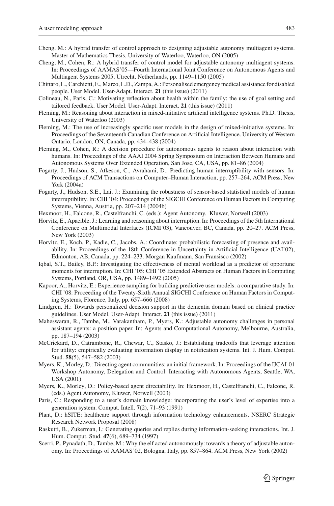- <span id="page-42-6"></span>Cheng, M.: A hybrid transfer of control approach to designing adjustable autonomy multiagent systems. Master of Mathematics Thesis, University of Waterloo, Waterloo, ON (2005)
- <span id="page-42-5"></span>Cheng, M., Cohen, R.: A hybrid transfer of control model for adjustable autonomy multiagent systems. In: Proceedings of AAMAS'05—Fourth International Joint Conference on Autonomous Agents and Multiagent Systems 2005, Utrecht, Netherlands, pp. 1149–1150 (2005)
- <span id="page-42-13"></span>Chittaro, L., Carchietti, E., Marco, L.D., Zampa, A.: Personalised emergency medical assistance for disabled people. User Model. User-Adapt. Interact. **21** (this issue) (2011)
- <span id="page-42-15"></span>Colineau, N., Paris, C.: Motivating reflection about health within the family: the use of goal setting and tailored feedback. User Model. User-Adapt. Interact. **21** (this issue) (2011)
- <span id="page-42-2"></span>Fleming, M.: Reasoning about interaction in mixed-initiative artificial intelligence systems. Ph.D. Thesis, University of Waterloo (2003)
- <span id="page-42-16"></span>Fleming, M.: The use of increasingly specific user models in the design of mixed-initiative systems. In: Proceedings of the Seventeenth Canadian Conference on Artificial Intelligence. University of Western Ontario, London, ON, Canada, pp. 434–438 (2004)
- <span id="page-42-1"></span>Fleming, M., Cohen, R.: A decision procedure for autonomous agents to reason about interaction with humans. In: Proceedings of the AAAI 2004 Spring Symposium on Interaction Between Humans and Autonomous Systems Over Extended Operation, San Jose, CA, USA, pp. 81–86 (2004)
- <span id="page-42-12"></span>Fogarty, J., Hudson, S., Atkeson, C., Avrahami, D.: Predicting human interruptibility with sensors. In: Proceedings of ACM Transactions on Computer–Human Interaction, pp. 257–264, ACM Press, New York (2004a)
- <span id="page-42-20"></span>Fogarty, J., Hudson, S.E., Lai, J.: Examining the robustness of sensor-based statistical models of human interruptibility. In: CHI '04: Proceedings of the SIGCHI Conference on Human Factors in Computing Systems, Vienna, Austria, pp. 207–214 (2004b)
- <span id="page-42-10"></span>Hexmoor, H., Falcone, R., Castelfranchi, C. (eds.): Agent Autonomy. Kluwer, Norwell (2003)
- <span id="page-42-9"></span>Horvitz, E., Apacible, J.: Learning and reasoning about interruption. In: Proceedings of the 5th International Conference on Multimodal Interfaces (ICMI'03), Vancouver, BC, Canada, pp. 20–27. ACM Press, New York (2003)
- <span id="page-42-8"></span>Horvitz, E., Koch, P., Kadie, C., Jacobs, A.: Coordinate: probabilistic forecasting of presence and availability. In: Proceedings of the 18th Conference in Uncertainty in Artificial Intelligence (UAI'02), Edmonton, AB, Canada, pp. 224–233. Morgan Kaufmann, San Fransisco (2002)
- <span id="page-42-21"></span>Iqbal, S.T., Bailey, B.P.: Investigating the effectiveness of mental workload as a predictor of opportune moments for interruption. In: CHI '05: CHI '05 Extended Abstracts on Human Factors in Computing Systems, Portland, OR, USA, pp. 1489–1492 (2005)
- <span id="page-42-22"></span>Kapoor, A., Horvitz, E.: Experience sampling for building predictive user models: a comparative study. In: CHI '08: Proceeding of the Twenty-Sixth Annual SIGCHI Conference on Human Factors in Computing Systems, Florence, Italy, pp. 657–666 (2008)
- <span id="page-42-14"></span>Lindgren, H.: Towards personalized decision support in the dementia domain based on clinical practice guidelines. User Model. User-Adapt. Interact. **21** (this issue) (2011)
- <span id="page-42-3"></span>Maheswaran, R., Tambe, M., Varakantham, P., Myers, K.: Adjustable autonomy challenges in personal assistant agents: a position paper. In: Agents and Computational Autonomy, Melbourne, Australia, pp. 187–194 (2003)
- <span id="page-42-11"></span>McCrickard, D., Catrambone, R., Chewar, C., Stasko, J.: Establishing tradeoffs that leverage attention for utility: empirically evaluating information display in notification systems. Int. J. Hum. Comput. Stud. **58**(5), 547–582 (2003)
- <span id="page-42-18"></span>Myers, K., Morley, D.: Directing agent communities: an initial framework. In: Proceedings of the IJCAI-01 Workshop Autonomy, Delegation and Control: Interacting with Autonomous Agents, Seattle, WA, USA (2001)
- <span id="page-42-19"></span>Myers, K., Morley, D.: Policy-based agent directability. In: Hexmoor, H., Castelfranchi, C., Falcone, R. (eds.) Agent Autonomy, Kluwer, Norwell (2003)
- <span id="page-42-17"></span>Paris, C.: Responding to a user's domain knowledge: incorporating the user's level of expertise into a generation system. Comput. Intell. **7**(2), 71–93 (1991)
- <span id="page-42-0"></span>Plant, D.: hSITE: healthcare support through information technology enhancements. NSERC Strategic Research Network Proposal (2008)
- <span id="page-42-7"></span>Raskutti, B., Zukerman, I.: Generating queries and replies during information-seeking interactions. Int. J. Hum. Comput. Stud. **47**(6), 689–734 (1997)
- <span id="page-42-4"></span>Scerri, P., Pynadath, D., Tambe, M.: Why the elf acted autonomously: towards a theory of adjustable autonomy. In: Proceedings of AAMAS'02, Bologna, Italy, pp. 857–864. ACM Press, New York (2002)